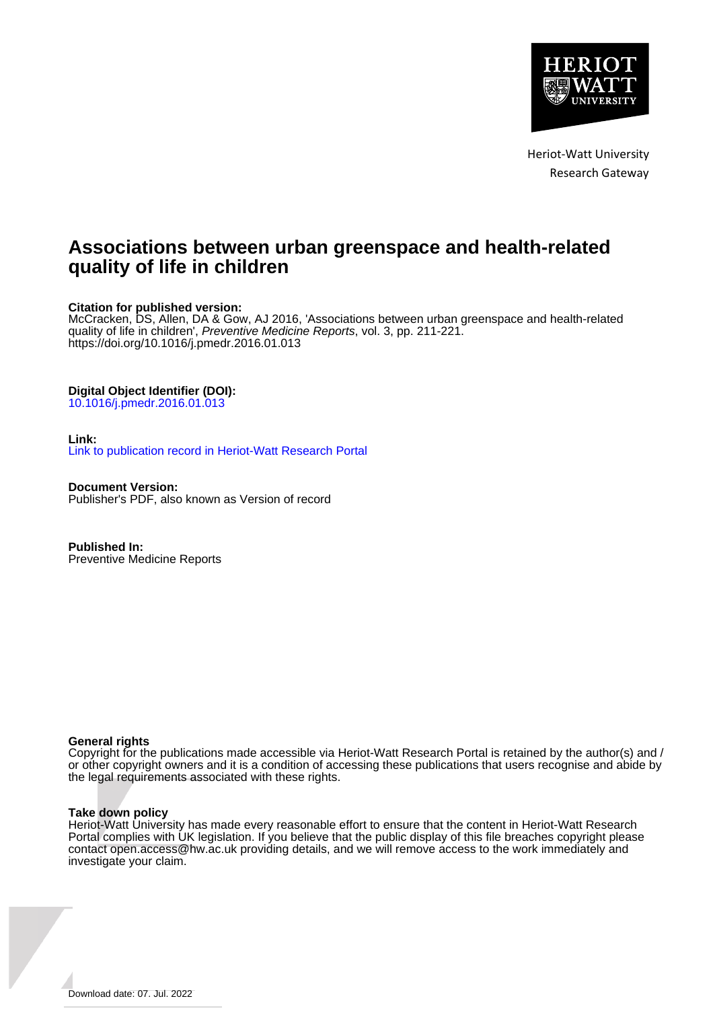

Heriot-Watt University Research Gateway

# **Associations between urban greenspace and health-related quality of life in children**

# **Citation for published version:**

McCracken, DS, Allen, DA & Gow, AJ 2016, 'Associations between urban greenspace and health-related quality of life in children', Preventive Medicine Reports, vol. 3, pp. 211-221. <https://doi.org/10.1016/j.pmedr.2016.01.013>

# **Digital Object Identifier (DOI):**

[10.1016/j.pmedr.2016.01.013](https://doi.org/10.1016/j.pmedr.2016.01.013)

### **Link:**

[Link to publication record in Heriot-Watt Research Portal](https://researchportal.hw.ac.uk/en/publications/57e974d9-1896-43c5-b81d-303b8dcb16f7)

**Document Version:** Publisher's PDF, also known as Version of record

**Published In:** Preventive Medicine Reports

### **General rights**

Copyright for the publications made accessible via Heriot-Watt Research Portal is retained by the author(s) and / or other copyright owners and it is a condition of accessing these publications that users recognise and abide by the legal requirements associated with these rights.

### **Take down policy**

Heriot-Watt University has made every reasonable effort to ensure that the content in Heriot-Watt Research Portal complies with UK legislation. If you believe that the public display of this file breaches copyright please contact open.access@hw.ac.uk providing details, and we will remove access to the work immediately and investigate your claim.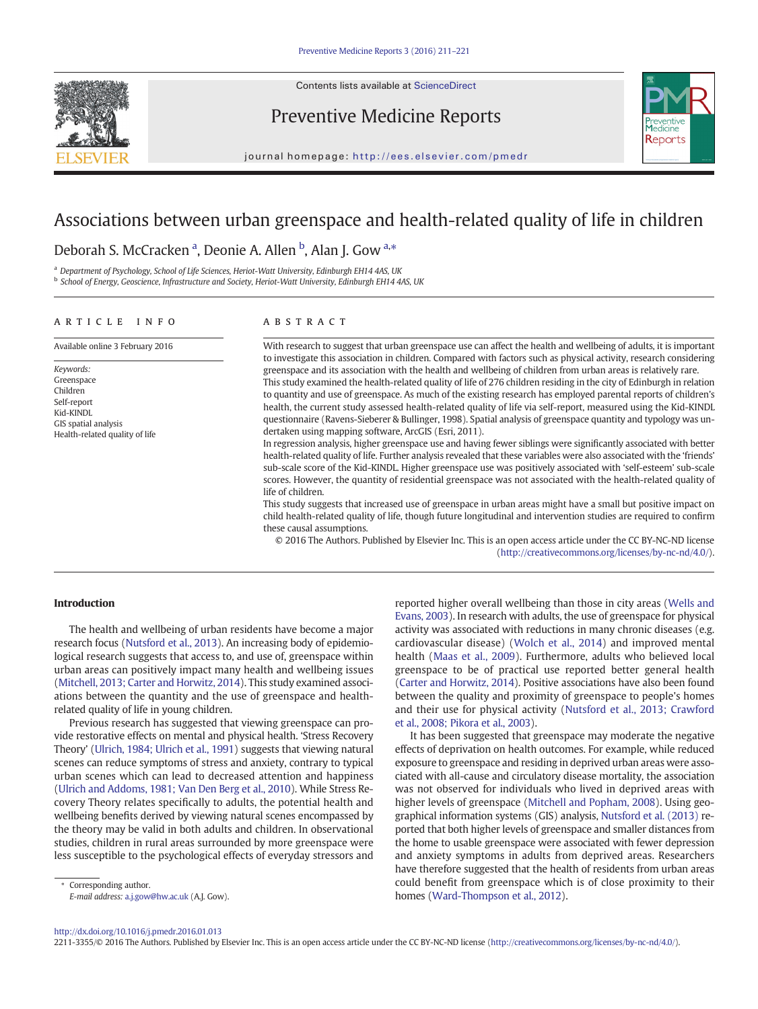

Contents lists available at ScienceDirect

# Preventive Medicine Reports



journal homepage: <http://ees.elsevier.com/pmedr>

# Associations between urban greenspace and health-related quality of life in children

# Deborah S. McCracken <sup>a</sup>, Deonie A. Allen <sup>b</sup>, Alan J. Gow <sup>a,\*</sup>

<sup>a</sup> Department of Psychology, School of Life Sciences, Heriot-Watt University, Edinburgh EH14 4AS, UK

**b School of Energy, Geoscience, Infrastructure and Society, Heriot-Watt University, Edinburgh EH14 4AS, UK** 

#### article info abstract

Keywords: Greenspace Children Self-report Kid-KINDL GIS spatial analysis Health-related quality of life

Available online 3 February 2016 With research to suggest that urban greenspace use can affect the health and wellbeing of adults, it is important to investigate this association in children. Compared with factors such as physical activity, research considering greenspace and its association with the health and wellbeing of children from urban areas is relatively rare. This study examined the health-related quality of life of 276 children residing in the city of Edinburgh in relation to quantity and use of greenspace. As much of the existing research has employed parental reports of children's health, the current study assessed health-related quality of life via self-report, measured using the Kid-KINDL questionnaire (Ravens-Sieberer & Bullinger, 1998). Spatial analysis of greenspace quantity and typology was undertaken using mapping software, ArcGIS (Esri, 2011).

In regression analysis, higher greenspace use and having fewer siblings were significantly associated with better health-related quality of life. Further analysis revealed that these variables were also associated with the 'friends' sub-scale score of the Kid-KINDL. Higher greenspace use was positively associated with 'self-esteem' sub-scale scores. However, the quantity of residential greenspace was not associated with the health-related quality of life of children.

This study suggests that increased use of greenspace in urban areas might have a small but positive impact on child health-related quality of life, though future longitudinal and intervention studies are required to confirm these causal assumptions.

© 2016 The Authors. Published by Elsevier Inc. This is an open access article under the CC BY-NC-ND license (http://creativecommons.org/licenses/by-nc-nd/4.0/).

### Introduction

The health and wellbeing of urban residents have become a major research focus ([Nutsford et al., 2013\)](#page-11-0). An increasing body of epidemiological research suggests that access to, and use of, greenspace within urban areas can positively impact many health and wellbeing issues [\(Mitchell, 2013; Carter and Horwitz, 2014\)](#page-10-0). This study examined associations between the quantity and the use of greenspace and healthrelated quality of life in young children.

Previous research has suggested that viewing greenspace can provide restorative effects on mental and physical health. 'Stress Recovery Theory' [\(Ulrich, 1984; Ulrich et al., 1991\)](#page-11-0) suggests that viewing natural scenes can reduce symptoms of stress and anxiety, contrary to typical urban scenes which can lead to decreased attention and happiness [\(Ulrich and Addoms, 1981; Van Den Berg et al., 2010](#page-11-0)). While Stress Recovery Theory relates specifically to adults, the potential health and wellbeing benefits derived by viewing natural scenes encompassed by the theory may be valid in both adults and children. In observational studies, children in rural areas surrounded by more greenspace were less susceptible to the psychological effects of everyday stressors and

Corresponding author.

E-mail address: [a.j.gow@hw.ac.uk](mailto:a.j.gow@hw.ac.uk) (A.J. Gow).

reported higher overall wellbeing than those in city areas [\(Wells and](#page-11-0) [Evans, 2003](#page-11-0)). In research with adults, the use of greenspace for physical activity was associated with reductions in many chronic diseases (e.g. cardiovascular disease) ([Wolch et al., 2014](#page-11-0)) and improved mental health ([Maas et al., 2009\)](#page-10-0). Furthermore, adults who believed local greenspace to be of practical use reported better general health [\(Carter and Horwitz, 2014](#page-10-0)). Positive associations have also been found between the quality and proximity of greenspace to people's homes and their use for physical activity [\(Nutsford et al., 2013; Crawford](#page-11-0) [et al., 2008; Pikora et al., 2003\)](#page-11-0).

It has been suggested that greenspace may moderate the negative effects of deprivation on health outcomes. For example, while reduced exposure to greenspace and residing in deprived urban areas were associated with all-cause and circulatory disease mortality, the association was not observed for individuals who lived in deprived areas with higher levels of greenspace [\(Mitchell and Popham, 2008](#page-11-0)). Using geographical information systems (GIS) analysis, [Nutsford et al. \(2013\)](#page-11-0) reported that both higher levels of greenspace and smaller distances from the home to usable greenspace were associated with fewer depression and anxiety symptoms in adults from deprived areas. Researchers have therefore suggested that the health of residents from urban areas could benefit from greenspace which is of close proximity to their homes ([Ward-Thompson et al., 2012](#page-11-0)).

<http://dx.doi.org/10.1016/j.pmedr.2016.01.013>

2211-3355/© 2016 The Authors. Published by Elsevier Inc. This is an open access article under the CC BY-NC-ND license (http://creativecommons.org/licenses/by-nc-nd/4.0/).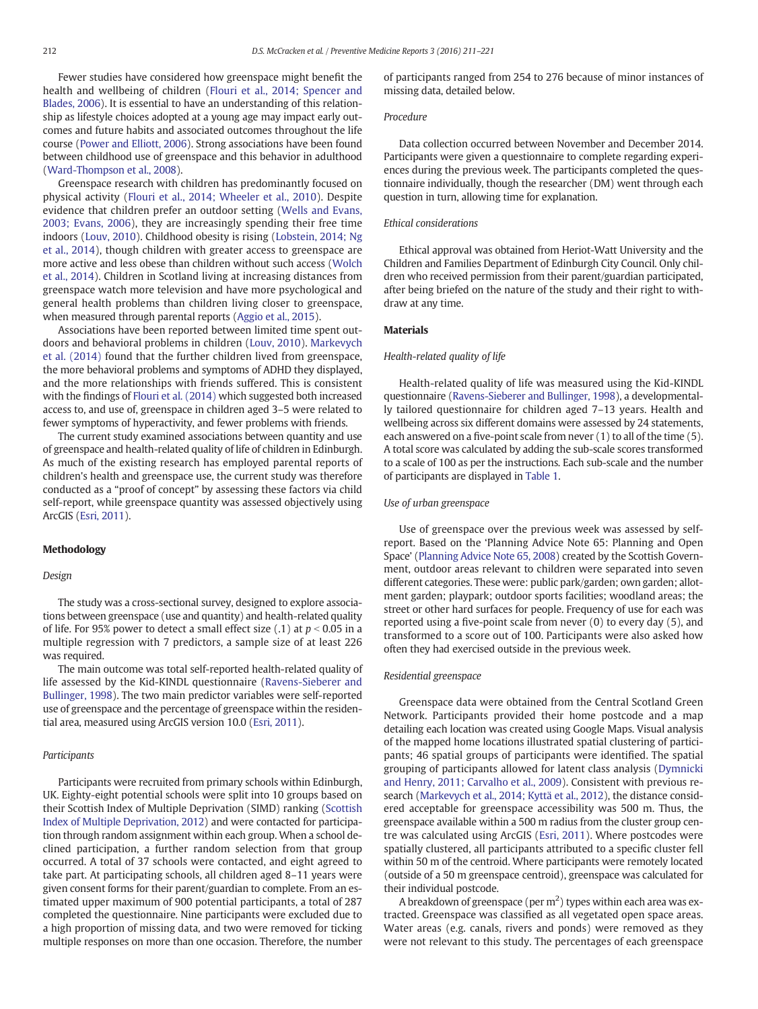Fewer studies have considered how greenspace might benefit the health and wellbeing of children ([Flouri et al., 2014; Spencer and](#page-10-0) [Blades, 2006\)](#page-10-0). It is essential to have an understanding of this relationship as lifestyle choices adopted at a young age may impact early outcomes and future habits and associated outcomes throughout the life course ([Power and Elliott, 2006\)](#page-11-0). Strong associations have been found between childhood use of greenspace and this behavior in adulthood [\(Ward-Thompson et al., 2008\)](#page-11-0).

Greenspace research with children has predominantly focused on physical activity ([Flouri et al., 2014; Wheeler et al., 2010\)](#page-10-0). Despite evidence that children prefer an outdoor setting [\(Wells and Evans,](#page-11-0) [2003; Evans, 2006\)](#page-11-0), they are increasingly spending their free time indoors [\(Louv, 2010\)](#page-10-0). Childhood obesity is rising ([Lobstein, 2014; Ng](#page-10-0) [et al., 2014\)](#page-10-0), though children with greater access to greenspace are more active and less obese than children without such access [\(Wolch](#page-11-0) [et al., 2014](#page-11-0)). Children in Scotland living at increasing distances from greenspace watch more television and have more psychological and general health problems than children living closer to greenspace, when measured through parental reports [\(Aggio et al., 2015](#page-10-0)).

Associations have been reported between limited time spent outdoors and behavioral problems in children [\(Louv, 2010](#page-10-0)). [Markevych](#page-10-0) [et al. \(2014\)](#page-10-0) found that the further children lived from greenspace, the more behavioral problems and symptoms of ADHD they displayed, and the more relationships with friends suffered. This is consistent with the findings of [Flouri et al. \(2014\)](#page-10-0) which suggested both increased access to, and use of, greenspace in children aged 3–5 were related to fewer symptoms of hyperactivity, and fewer problems with friends.

The current study examined associations between quantity and use of greenspace and health-related quality of life of children in Edinburgh. As much of the existing research has employed parental reports of children's health and greenspace use, the current study was therefore conducted as a "proof of concept" by assessing these factors via child self-report, while greenspace quantity was assessed objectively using ArcGIS [\(Esri, 2011\)](#page-10-0).

#### Methodology

#### Design

The study was a cross-sectional survey, designed to explore associations between greenspace (use and quantity) and health-related quality of life. For 95% power to detect a small effect size  $(0.1)$  at  $p < 0.05$  in a multiple regression with 7 predictors, a sample size of at least 226 was required.

The main outcome was total self-reported health-related quality of life assessed by the Kid-KINDL questionnaire [\(Ravens-Sieberer and](#page-11-0) [Bullinger, 1998](#page-11-0)). The two main predictor variables were self-reported use of greenspace and the percentage of greenspace within the residential area, measured using ArcGIS version 10.0 [\(Esri, 2011\)](#page-10-0).

#### Participants

Participants were recruited from primary schools within Edinburgh, UK. Eighty-eight potential schools were split into 10 groups based on their Scottish Index of Multiple Deprivation (SIMD) ranking [\(Scottish](#page-11-0) [Index of Multiple Deprivation, 2012](#page-11-0)) and were contacted for participation through random assignment within each group. When a school declined participation, a further random selection from that group occurred. A total of 37 schools were contacted, and eight agreed to take part. At participating schools, all children aged 8–11 years were given consent forms for their parent/guardian to complete. From an estimated upper maximum of 900 potential participants, a total of 287 completed the questionnaire. Nine participants were excluded due to a high proportion of missing data, and two were removed for ticking multiple responses on more than one occasion. Therefore, the number of participants ranged from 254 to 276 because of minor instances of missing data, detailed below.

#### Procedure

Data collection occurred between November and December 2014. Participants were given a questionnaire to complete regarding experiences during the previous week. The participants completed the questionnaire individually, though the researcher (DM) went through each question in turn, allowing time for explanation.

#### Ethical considerations

Ethical approval was obtained from Heriot-Watt University and the Children and Families Department of Edinburgh City Council. Only children who received permission from their parent/guardian participated, after being briefed on the nature of the study and their right to withdraw at any time.

#### **Materials**

#### Health-related quality of life

Health-related quality of life was measured using the Kid-KINDL questionnaire ([Ravens-Sieberer and Bullinger, 1998\)](#page-11-0), a developmentally tailored questionnaire for children aged 7–13 years. Health and wellbeing across six different domains were assessed by 24 statements, each answered on a five-point scale from never (1) to all of the time (5). A total score was calculated by adding the sub-scale scores transformed to a scale of 100 as per the instructions. Each sub-scale and the number of participants are displayed in [Table 1.](#page-3-0)

#### Use of urban greenspace

Use of greenspace over the previous week was assessed by selfreport. Based on the 'Planning Advice Note 65: Planning and Open Space' [\(Planning Advice Note 65, 2008\)](#page-11-0) created by the Scottish Government, outdoor areas relevant to children were separated into seven different categories. These were: public park/garden; own garden; allotment garden; playpark; outdoor sports facilities; woodland areas; the street or other hard surfaces for people. Frequency of use for each was reported using a five-point scale from never (0) to every day (5), and transformed to a score out of 100. Participants were also asked how often they had exercised outside in the previous week.

#### Residential greenspace

Greenspace data were obtained from the Central Scotland Green Network. Participants provided their home postcode and a map detailing each location was created using Google Maps. Visual analysis of the mapped home locations illustrated spatial clustering of participants; 46 spatial groups of participants were identified. The spatial grouping of participants allowed for latent class analysis ([Dymnicki](#page-10-0) [and Henry, 2011; Carvalho et al., 2009](#page-10-0)). Consistent with previous research [\(Markevych et al., 2014; Kyttä et al., 2012](#page-10-0)), the distance considered acceptable for greenspace accessibility was 500 m. Thus, the greenspace available within a 500 m radius from the cluster group centre was calculated using ArcGIS ([Esri, 2011](#page-10-0)). Where postcodes were spatially clustered, all participants attributed to a specific cluster fell within 50 m of the centroid. Where participants were remotely located (outside of a 50 m greenspace centroid), greenspace was calculated for their individual postcode.

A breakdown of greenspace (per  $m<sup>2</sup>$ ) types within each area was extracted. Greenspace was classified as all vegetated open space areas. Water areas (e.g. canals, rivers and ponds) were removed as they were not relevant to this study. The percentages of each greenspace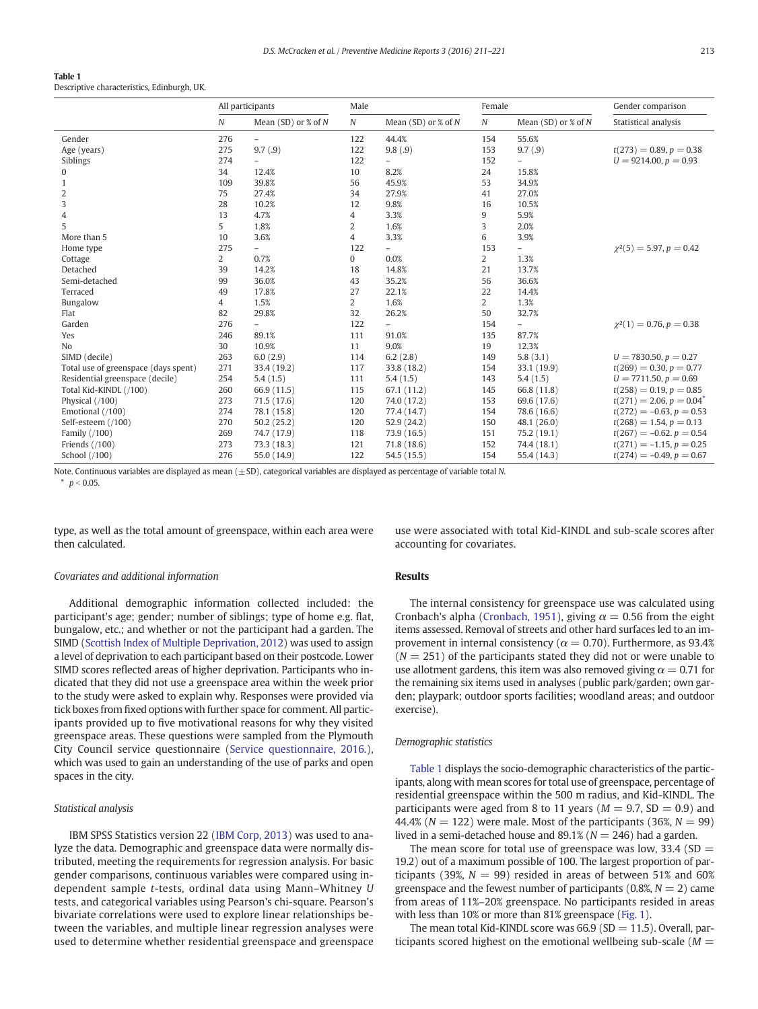# <span id="page-3-0"></span>Table 1

Descriptive characteristics, Edinburgh, UK.

|                                      | All participants |                          | Male           |                          | Female           |                          | Gender comparison              |  |
|--------------------------------------|------------------|--------------------------|----------------|--------------------------|------------------|--------------------------|--------------------------------|--|
|                                      | $\boldsymbol{N}$ | Mean $(SD)$ or % of N    | $\cal N$       | Mean (SD) or $%$ of N    | $\boldsymbol{N}$ | Mean (SD) or $%$ of N    | Statistical analysis           |  |
| Gender                               | 276              | $\overline{\phantom{0}}$ | 122            | 44.4%                    | 154              | 55.6%                    |                                |  |
| Age (years)                          | 275              | 9.7(.9)                  | 122            | 9.8(.9)                  | 153              | 9.7(.9)                  | $t(273) = 0.89, p = 0.38$      |  |
| Siblings                             | 274              | $\overline{a}$           | 122            | $\overline{a}$           | 152              | $\overline{\phantom{0}}$ | $U = 9214.00, p = 0.93$        |  |
| $\mathbf{0}$                         | 34               | 12.4%                    | 10             | 8.2%                     | 24               | 15.8%                    |                                |  |
| $\mathbf{1}$                         | 109              | 39.8%                    | 56             | 45.9%                    | 53               | 34.9%                    |                                |  |
| $\overline{c}$                       | 75               | 27.4%                    | 34             | 27.9%                    | 41               | 27.0%                    |                                |  |
| 3                                    | 28               | 10.2%                    | 12             | 9.8%                     | 16               | 10.5%                    |                                |  |
| $\overline{4}$                       | 13               | 4.7%                     | $\overline{4}$ | 3.3%                     | 9                | 5.9%                     |                                |  |
| 5                                    | 5                | 1.8%                     | $\overline{2}$ | 1.6%                     | 3                | 2.0%                     |                                |  |
| More than 5                          | 10               | 3.6%                     | $\overline{4}$ | 3.3%                     | 6                | 3.9%                     |                                |  |
| Home type                            | 275              | $\overline{\phantom{0}}$ | 122            | $\overline{\phantom{0}}$ | 153              | ÷                        | $\gamma^2(5) = 5.97, p = 0.42$ |  |
| Cottage                              | $\overline{2}$   | 0.7%                     | $\mathbf{0}$   | 0.0%                     | 2                | 1.3%                     |                                |  |
| Detached                             | 39               | 14.2%                    | 18             | 14.8%                    | 21               | 13.7%                    |                                |  |
| Semi-detached                        | 99               | 36.0%                    | 43             | 35.2%                    | 56               | 36.6%                    |                                |  |
| Terraced                             | 49               | 17.8%                    | 27             | 22.1%                    | 22               | 14.4%                    |                                |  |
| Bungalow                             | 4                | 1.5%                     | $\overline{2}$ | 1.6%                     | 2                | 1.3%                     |                                |  |
| Flat                                 | 82               | 29.8%                    | 32             | 26.2%                    | 50               | 32.7%                    |                                |  |
| Garden                               | 276              | $\overline{\phantom{0}}$ | 122            | $\overline{a}$           | 154              | $\overline{\phantom{0}}$ | $\gamma^2(1) = 0.76, p = 0.38$ |  |
| Yes                                  | 246              | 89.1%                    | 111            | 91.0%                    | 135              | 87.7%                    |                                |  |
| No                                   | 30               | 10.9%                    | 11             | 9.0%                     | 19               | 12.3%                    |                                |  |
| SIMD (decile)                        | 263              | 6.0(2.9)                 | 114            | 6.2(2.8)                 | 149              | 5.8(3.1)                 | $U = 7830.50, p = 0.27$        |  |
| Total use of greenspace (days spent) | 271              | 33.4 (19.2)              | 117            | 33.8 (18.2)              | 154              | 33.1 (19.9)              | $t(269) = 0.30, p = 0.77$      |  |
| Residential greenspace (decile)      | 254              | 5.4(1.5)                 | 111            | 5.4(1.5)                 | 143              | 5.4(1.5)                 | $U = 7711.50, p = 0.69$        |  |
| Total Kid-KINDL (/100)               | 260              | 66.9 (11.5)              | 115            | 67.1 (11.2)              | 145              | 66.8 (11.8)              | $t(258) = 0.19, p = 0.85$      |  |
| Physical (/100)                      | 273              | 71.5 (17.6)              | 120            | 74.0 (17.2)              | 153              | 69.6 (17.6)              | $t(271) = 2.06, p = 0.04^*$    |  |
| Emotional (/100)                     | 274              | 78.1 (15.8)              | 120            | 77.4 (14.7)              | 154              | 78.6 (16.6)              | $t(272) = -0.63, p = 0.53$     |  |
| Self-esteem (/100)                   | 270              | 50.2(25.2)               | 120            | 52.9(24.2)               | 150              | 48.1(26.0)               | $t(268) = 1.54, p = 0.13$      |  |
| Family (/100)                        | 269              | 74.7 (17.9)              | 118            | 73.9 (16.5)              | 151              | 75.2(19.1)               | $t(267) = -0.62, p = 0.54$     |  |
| Friends $(7100)$                     | 273              | 73.3 (18.3)              | 121            | 71.8(18.6)               | 152              | 74.4 (18.1)              | $t(271) = -1.15, p = 0.25$     |  |
| School (/100)                        | 276              | 55.0 (14.9)              | 122            | 54.5 (15.5)              | 154              | 55.4 (14.3)              | $t(274) = -0.49, p = 0.67$     |  |

Note. Continuous variables are displayed as mean  $(+SD)$ , categorical variables are displayed as percentage of variable total N.  $p < 0.05$ .

type, as well as the total amount of greenspace, within each area were then calculated.

#### Covariates and additional information

Additional demographic information collected included: the participant's age; gender; number of siblings; type of home e.g. flat, bungalow, etc.; and whether or not the participant had a garden. The SIMD [\(Scottish Index of Multiple Deprivation, 2012\)](#page-11-0) was used to assign a level of deprivation to each participant based on their postcode. Lower SIMD scores reflected areas of higher deprivation. Participants who indicated that they did not use a greenspace area within the week prior to the study were asked to explain why. Responses were provided via tick boxes from fixed options with further space for comment. All participants provided up to five motivational reasons for why they visited greenspace areas. These questions were sampled from the Plymouth City Council service questionnaire ([Service questionnaire, 2016.](#page-11-0)), which was used to gain an understanding of the use of parks and open spaces in the city.

#### Statistical analysis

IBM SPSS Statistics version 22 ([IBM Corp, 2013](#page-10-0)) was used to analyze the data. Demographic and greenspace data were normally distributed, meeting the requirements for regression analysis. For basic gender comparisons, continuous variables were compared using independent sample t-tests, ordinal data using Mann–Whitney U tests, and categorical variables using Pearson's chi-square. Pearson's bivariate correlations were used to explore linear relationships between the variables, and multiple linear regression analyses were used to determine whether residential greenspace and greenspace

use were associated with total Kid-KINDL and sub-scale scores after accounting for covariates.

#### Results

The internal consistency for greenspace use was calculated using Cronbach's alpha ([Cronbach, 1951\)](#page-10-0), giving  $\alpha = 0.56$  from the eight items assessed. Removal of streets and other hard surfaces led to an improvement in internal consistency ( $\alpha$  = 0.70). Furthermore, as 93.4%  $(N = 251)$  of the participants stated they did not or were unable to use allotment gardens, this item was also removed giving  $\alpha = 0.71$  for the remaining six items used in analyses (public park/garden; own garden; playpark; outdoor sports facilities; woodland areas; and outdoor exercise).

#### Demographic statistics

Table 1 displays the socio-demographic characteristics of the participants, along with mean scores for total use of greenspace, percentage of residential greenspace within the 500 m radius, and Kid-KINDL. The participants were aged from 8 to 11 years ( $M = 9.7$ , SD = 0.9) and 44.4% ( $N = 122$ ) were male. Most of the participants (36%,  $N = 99$ ) lived in a semi-detached house and  $89.1\%$  ( $N = 246$ ) had a garden.

The mean score for total use of greenspace was low, 33.4 (SD  $=$ 19.2) out of a maximum possible of 100. The largest proportion of participants (39%,  $N = 99$ ) resided in areas of between 51% and 60% greenspace and the fewest number of participants (0.8%,  $N = 2$ ) came from areas of 11%–20% greenspace. No participants resided in areas with less than 10% or more than 81% greenspace [\(Fig. 1](#page-4-0)).

The mean total Kid-KINDL score was  $66.9$  (SD = 11.5). Overall, participants scored highest on the emotional wellbeing sub-scale ( $M =$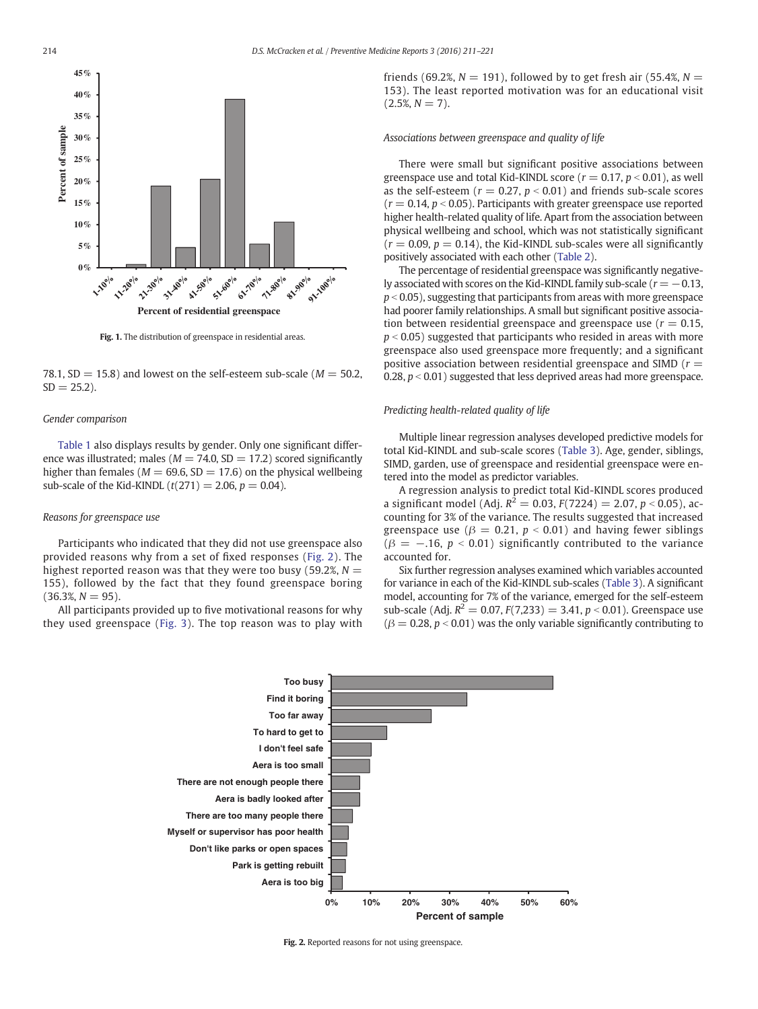<span id="page-4-0"></span>

Fig. 1. The distribution of greenspace in residential areas.

78.1, SD = 15.8) and lowest on the self-esteem sub-scale ( $M = 50.2$ ,  $SD = 25.2$ ).

#### Gender comparison

[Table 1](#page-3-0) also displays results by gender. Only one significant difference was illustrated; males ( $M = 74.0$ , SD = 17.2) scored significantly higher than females ( $M = 69.6$ , SD = 17.6) on the physical wellbeing sub-scale of the Kid-KINDL  $(t(271) = 2.06, p = 0.04)$ .

#### Reasons for greenspace use

Participants who indicated that they did not use greenspace also provided reasons why from a set of fixed responses (Fig. 2). The highest reported reason was that they were too busy (59.2%,  $N =$ 155), followed by the fact that they found greenspace boring  $(36.3\%, N = 95).$ 

All participants provided up to five motivational reasons for why they used greenspace ([Fig. 3](#page-5-0)). The top reason was to play with friends (69.2%,  $N = 191$ ), followed by to get fresh air (55.4%,  $N =$ 153). The least reported motivation was for an educational visit  $(2.5\%, N = 7)$ .

#### Associations between greenspace and quality of life

There were small but significant positive associations between greenspace use and total Kid-KINDL score ( $r = 0.17$ ,  $p < 0.01$ ), as well as the self-esteem ( $r = 0.27$ ,  $p < 0.01$ ) and friends sub-scale scores  $(r = 0.14, p < 0.05)$ . Participants with greater greenspace use reported higher health-related quality of life. Apart from the association between physical wellbeing and school, which was not statistically significant  $(r = 0.09, p = 0.14)$ , the Kid-KINDL sub-scales were all significantly positively associated with each other [\(Table 2\)](#page-5-0).

The percentage of residential greenspace was significantly negatively associated with scores on the Kid-KINDL family sub-scale ( $r = -0.13$ ,  $p < 0.05$ ), suggesting that participants from areas with more greenspace had poorer family relationships. A small but significant positive association between residential greenspace and greenspace use ( $r = 0.15$ ,  $p < 0.05$ ) suggested that participants who resided in areas with more greenspace also used greenspace more frequently; and a significant positive association between residential greenspace and SIMD ( $r =$ 0.28,  $p < 0.01$ ) suggested that less deprived areas had more greenspace.

#### Predicting health-related quality of life

Multiple linear regression analyses developed predictive models for total Kid-KINDL and sub-scale scores ([Table 3](#page-6-0)). Age, gender, siblings, SIMD, garden, use of greenspace and residential greenspace were entered into the model as predictor variables.

A regression analysis to predict total Kid-KINDL scores produced a significant model (Adj.  $R^2 = 0.03$ ,  $F(7224) = 2.07$ ,  $p < 0.05$ ), accounting for 3% of the variance. The results suggested that increased greenspace use ( $\beta = 0.21$ ,  $p < 0.01$ ) and having fewer siblings  $(\beta = -.16, p < 0.01)$  significantly contributed to the variance accounted for.

Six further regression analyses examined which variables accounted for variance in each of the Kid-KINDL sub-scales [\(Table 3\)](#page-6-0). A significant model, accounting for 7% of the variance, emerged for the self-esteem sub-scale (Adj.  $R^2 = 0.07$ ,  $F(7,233) = 3.41$ ,  $p < 0.01$ ). Greenspace use  $(\beta = 0.28, p < 0.01)$  was the only variable significantly contributing to



Fig. 2. Reported reasons for not using greenspace.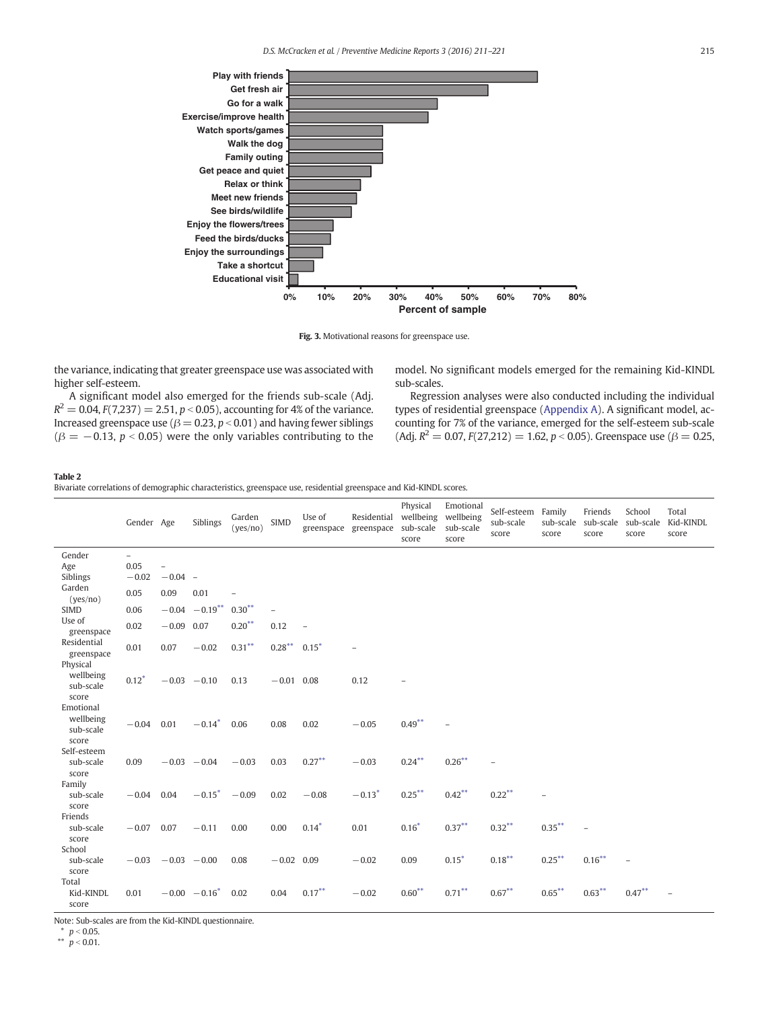<span id="page-5-0"></span>

Fig. 3. Motivational reasons for greenspace use.

the variance, indicating that greater greenspace use was associated with higher self-esteem.

A significant model also emerged for the friends sub-scale (Adj.  $R^2 = 0.04$ ,  $F(7,237) = 2.51$ ,  $p < 0.05$ ), accounting for 4% of the variance. Increased greenspace use ( $\beta = 0.23$ ,  $p < 0.01$ ) and having fewer siblings  $(\beta = -0.13, p < 0.05)$  were the only variables contributing to the

model. No significant models emerged for the remaining Kid-KINDL sub-scales.

Regression analyses were also conducted including the individual types of residential greenspace (Appendix A). A significant model, accounting for 7% of the variance, emerged for the self-esteem sub-scale (Adj.  $R^2 = 0.07$ ,  $F(27,212) = 1.62$ ,  $p < 0.05$ ). Greenspace use ( $\beta = 0.25$ ,

#### Table 2

Bivariate correlations of demographic characteristics, greenspace use, residential greenspace and Kid-KINDL scores.

|                                              | Gender Age               |                          | Siblings                    | Garden<br>(yes/no)       | <b>SIMD</b>  | Use of<br>greenspace | Residential<br>greenspace sub-scale | Physical<br>wellbeing<br>score | Emotional<br>wellbeing<br>sub-scale<br>score | Self-esteem<br>sub-scale<br>score | Family<br>score          | Friends<br>sub-scale sub-scale sub-scale<br>score | School<br>score          | Total<br>Kid-KINDL<br>score |
|----------------------------------------------|--------------------------|--------------------------|-----------------------------|--------------------------|--------------|----------------------|-------------------------------------|--------------------------------|----------------------------------------------|-----------------------------------|--------------------------|---------------------------------------------------|--------------------------|-----------------------------|
| Gender                                       | $\overline{\phantom{0}}$ |                          |                             |                          |              |                      |                                     |                                |                                              |                                   |                          |                                                   |                          |                             |
| Age                                          | 0.05                     | $\overline{\phantom{0}}$ |                             |                          |              |                      |                                     |                                |                                              |                                   |                          |                                                   |                          |                             |
| Siblings                                     | $-0.02$                  | $-0.04 -$                |                             |                          |              |                      |                                     |                                |                                              |                                   |                          |                                                   |                          |                             |
| Garden<br>(yes/no)                           | 0.05                     | 0.09                     | 0.01                        | $\overline{\phantom{m}}$ |              |                      |                                     |                                |                                              |                                   |                          |                                                   |                          |                             |
| <b>SIMD</b>                                  | 0.06                     |                          | $-0.04 -0.19***$            | $0.30**$                 |              |                      |                                     |                                |                                              |                                   |                          |                                                   |                          |                             |
| Use of<br>greenspace                         | 0.02                     | $-0.09$ 0.07             |                             | $0.20**$                 | 0.12         | $\qquad \qquad -$    |                                     |                                |                                              |                                   |                          |                                                   |                          |                             |
| Residential<br>greenspace                    | 0.01                     | 0.07                     | $-0.02$                     | $0.31***$                | $0.28***$    | $0.15*$              |                                     |                                |                                              |                                   |                          |                                                   |                          |                             |
| Physical<br>wellbeing<br>sub-scale<br>score  | $0.12*$                  |                          | $-0.03 -0.10$               | 0.13                     | $-0.01$ 0.08 |                      | 0.12                                |                                |                                              |                                   |                          |                                                   |                          |                             |
| Emotional<br>wellbeing<br>sub-scale<br>score | $-0.04$                  | 0.01                     | $-0.14*$                    | 0.06                     | 0.08         | 0.02                 | $-0.05$                             | $0.49***$                      |                                              |                                   |                          |                                                   |                          |                             |
| Self-esteem<br>sub-scale<br>score            | 0.09                     |                          | $-0.03 - 0.04$              | $-0.03$                  | 0.03         | $0.27***$            | $-0.03$                             | $0.24***$                      | $0.26***$                                    |                                   |                          |                                                   |                          |                             |
| Family<br>sub-scale<br>score                 | $-0.04$                  | 0.04                     | $-0.15*$                    | $-0.09$                  | 0.02         | $-0.08$              | $-0.13*$                            | $0.25***$                      | $0.42***$                                    | $0.22***$                         | $\overline{\phantom{0}}$ |                                                   |                          |                             |
| Friends<br>sub-scale<br>score                | $-0.07$                  | 0.07                     | $-0.11$                     | 0.00                     | 0.00         | $0.14*$              | 0.01                                | $0.16*$                        | $0.37***$                                    | $0.32***$                         | $0.35***$                |                                                   |                          |                             |
| School<br>sub-scale<br>score                 | $-0.03$                  | $-0.03 - 0.00$           |                             | 0.08                     | $-0.02$ 0.09 |                      | $-0.02$                             | 0.09                           | $0.15*$                                      | $0.18***$                         | $0.25***$                | $0.16***$                                         | $\overline{\phantom{m}}$ |                             |
| Total<br>Kid-KINDL<br>score                  | 0.01                     |                          | $-0.00 - 0.16$ <sup>*</sup> | 0.02                     | 0.04         | $0.17***$            | $-0.02$                             | $0.60**$                       | $0.71***$                                    | $0.67***$                         | $0.65***$                | $0.63***$                                         | $0.47***$                |                             |

Note: Sub-scales are from the Kid-KINDL questionnaire.

 $p < 0.05$ . \*\*  $p < 0.01$ .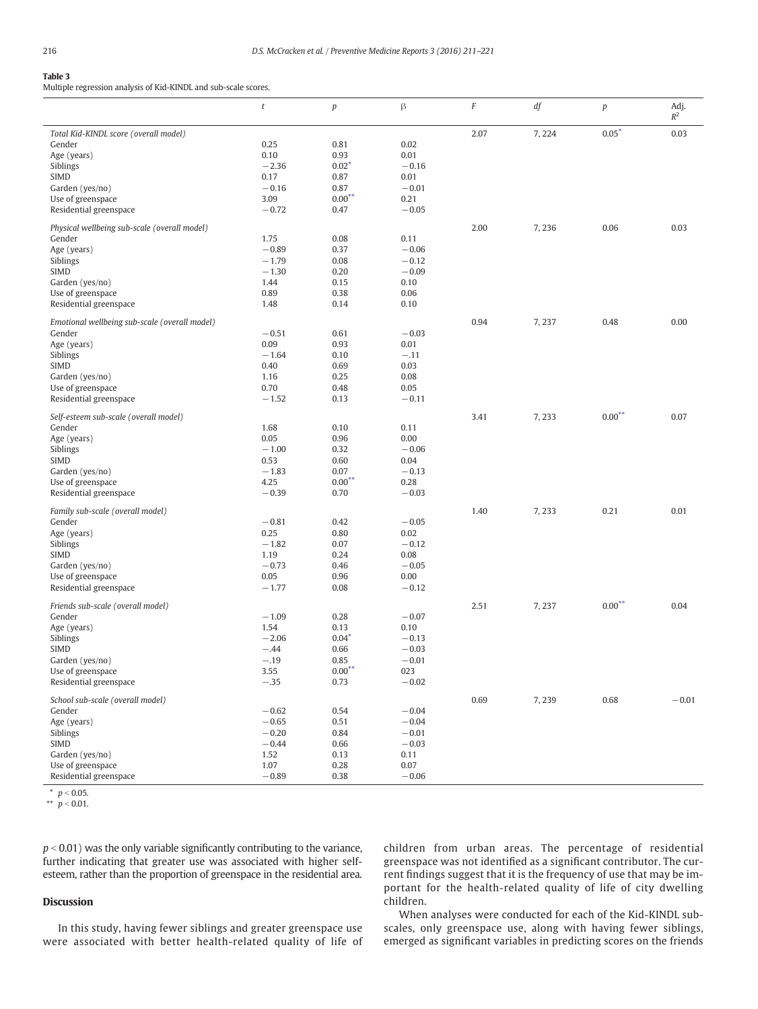#### <span id="page-6-0"></span>Table 3

Multiple regression analysis of Kid-KINDL and sub-scale scores.

| $0.05*$<br>2.07<br>7,224<br>0.03<br>Total Kid-KINDL score (overall model)<br>0.25<br>0.81<br>0.02<br>Gender<br>0.93<br>Age (years)<br>0.10<br>0.01<br>Siblings<br>$-2.36$<br>$0.02*$<br>$-0.16$<br><b>SIMD</b><br>0.87<br>0.01<br>0.17<br>$-0.16$<br>$-0.01$<br>Garden (yes/no)<br>0.87<br>$0.00**$<br>3.09<br>Use of greenspace<br>0.21<br>$-0.72$<br>$-0.05$<br>Residential greenspace<br>0.47<br>0.03<br>Physical wellbeing sub-scale (overall model)<br>2.00<br>7,236<br>0.06<br>Gender<br>1.75<br>0.08<br>0.11<br>$-0.89$<br>0.37<br>$-0.06$<br>Age (years)<br>$-1.79$<br>Siblings<br>0.08<br>$-0.12$<br><b>SIMD</b><br>$-1.30$<br>$-0.09$<br>0.20<br>Garden (yes/no)<br>1.44<br>0.15<br>0.10<br>0.89<br>0.38<br>0.06<br>Use of greenspace<br>Residential greenspace<br>1.48<br>0.14<br>0.10<br>0.00<br>0.94<br>7,237<br>0.48<br>Emotional wellbeing sub-scale (overall model)<br>$-0.51$<br>0.61<br>$-0.03$<br>Gender<br>0.09<br>0.93<br>Age (years)<br>0.01<br>Siblings<br>$-1.64$<br>0.10<br>$-.11$<br>0.69<br>0.03<br><b>SIMD</b><br>0.40<br>Garden (yes/no)<br>1.16<br>0.25<br>0.08<br>Use of greenspace<br>0.70<br>0.48<br>0.05<br>Residential greenspace<br>$-1.52$<br>0.13<br>$-0.11$<br>$0.00**$<br>0.07<br>Self-esteem sub-scale (overall model)<br>3.41<br>7,233<br>Gender<br>1.68<br>0.10<br>0.11<br>Age (years)<br>0.05<br>0.96<br>0.00<br>Siblings<br>$-1.00$<br>0.32<br>$-0.06$<br>0.53<br><b>SIMD</b><br>0.60<br>0.04<br>$-1.83$<br>Garden (yes/no)<br>0.07<br>$-0.13$<br>$0.00**$<br>4.25<br>Use of greenspace<br>0.28<br>$-0.39$<br>$-0.03$<br>Residential greenspace<br>0.70<br>Family sub-scale (overall model)<br>1.40<br>7,233<br>0.21<br>0.01<br>$-0.81$<br>$-0.05$<br>Gender<br>0.42<br>0.25<br>0.80<br>Age (years)<br>0.02<br>Siblings<br>$-1.82$<br>0.07<br>$-0.12$<br><b>SIMD</b><br>1.19<br>0.24<br>0.08<br>$-0.73$<br>$-0.05$<br>Garden (yes/no)<br>0.46<br>0.05<br>0.00<br>Use of greenspace<br>0.96<br>$-1.77$<br>0.08<br>$-0.12$<br>Residential greenspace<br>2.51<br>$0.00***$<br>0.04<br>Friends sub-scale (overall model)<br>7,237<br>Gender<br>$-1.09$<br>0.28<br>$-0.07$<br>Age (years)<br>1.54<br>0.13<br>0.10<br>Siblings<br>$-2.06$<br>$0.04*$<br>$-0.13$<br>$-0.03$<br><b>SIMD</b><br>$-.44$<br>0.66<br>$-.19$<br>0.85<br>$-0.01$<br>Garden (yes/no)<br>$0.00**$<br>3.55<br>023<br>Use of greenspace<br>Residential greenspace<br>$-.35$<br>0.73<br>$-0.02$<br>0.69<br>7,239<br>0.68<br>$-0.01$<br>School sub-scale (overall model)<br>$-0.62$<br>0.54<br>$-0.04$<br>Gender<br>$-0.65$<br>0.51<br>$-0.04$<br>Age (years)<br>Siblings<br>$-0.20$<br>$-0.01$<br>0.84<br><b>SIMD</b><br>$-0.44$<br>$-0.03$<br>0.66<br>Garden (yes/no)<br>1.52<br>0.13<br>0.11<br>Use of greenspace<br>0.28<br>0.07<br>1.07<br>$-0.89$<br>$-0.06$<br>Residential greenspace<br>0.38 | t | $\boldsymbol{p}$ | β | $\cal F$ | $\ensuremath{\mathit{df}}$ | p | Adj.<br>$R^2$ |
|---------------------------------------------------------------------------------------------------------------------------------------------------------------------------------------------------------------------------------------------------------------------------------------------------------------------------------------------------------------------------------------------------------------------------------------------------------------------------------------------------------------------------------------------------------------------------------------------------------------------------------------------------------------------------------------------------------------------------------------------------------------------------------------------------------------------------------------------------------------------------------------------------------------------------------------------------------------------------------------------------------------------------------------------------------------------------------------------------------------------------------------------------------------------------------------------------------------------------------------------------------------------------------------------------------------------------------------------------------------------------------------------------------------------------------------------------------------------------------------------------------------------------------------------------------------------------------------------------------------------------------------------------------------------------------------------------------------------------------------------------------------------------------------------------------------------------------------------------------------------------------------------------------------------------------------------------------------------------------------------------------------------------------------------------------------------------------------------------------------------------------------------------------------------------------------------------------------------------------------------------------------------------------------------------------------------------------------------------------------------------------------------------------------------------------------------------------------------------------------------------------------------------------------------------------------------------------------------------------------------------------------------------------------------------------------------------------------------------------------------------------------------------------------------------------------|---|------------------|---|----------|----------------------------|---|---------------|
|                                                                                                                                                                                                                                                                                                                                                                                                                                                                                                                                                                                                                                                                                                                                                                                                                                                                                                                                                                                                                                                                                                                                                                                                                                                                                                                                                                                                                                                                                                                                                                                                                                                                                                                                                                                                                                                                                                                                                                                                                                                                                                                                                                                                                                                                                                                                                                                                                                                                                                                                                                                                                                                                                                                                                                                                               |   |                  |   |          |                            |   |               |
|                                                                                                                                                                                                                                                                                                                                                                                                                                                                                                                                                                                                                                                                                                                                                                                                                                                                                                                                                                                                                                                                                                                                                                                                                                                                                                                                                                                                                                                                                                                                                                                                                                                                                                                                                                                                                                                                                                                                                                                                                                                                                                                                                                                                                                                                                                                                                                                                                                                                                                                                                                                                                                                                                                                                                                                                               |   |                  |   |          |                            |   |               |
|                                                                                                                                                                                                                                                                                                                                                                                                                                                                                                                                                                                                                                                                                                                                                                                                                                                                                                                                                                                                                                                                                                                                                                                                                                                                                                                                                                                                                                                                                                                                                                                                                                                                                                                                                                                                                                                                                                                                                                                                                                                                                                                                                                                                                                                                                                                                                                                                                                                                                                                                                                                                                                                                                                                                                                                                               |   |                  |   |          |                            |   |               |
|                                                                                                                                                                                                                                                                                                                                                                                                                                                                                                                                                                                                                                                                                                                                                                                                                                                                                                                                                                                                                                                                                                                                                                                                                                                                                                                                                                                                                                                                                                                                                                                                                                                                                                                                                                                                                                                                                                                                                                                                                                                                                                                                                                                                                                                                                                                                                                                                                                                                                                                                                                                                                                                                                                                                                                                                               |   |                  |   |          |                            |   |               |
|                                                                                                                                                                                                                                                                                                                                                                                                                                                                                                                                                                                                                                                                                                                                                                                                                                                                                                                                                                                                                                                                                                                                                                                                                                                                                                                                                                                                                                                                                                                                                                                                                                                                                                                                                                                                                                                                                                                                                                                                                                                                                                                                                                                                                                                                                                                                                                                                                                                                                                                                                                                                                                                                                                                                                                                                               |   |                  |   |          |                            |   |               |
|                                                                                                                                                                                                                                                                                                                                                                                                                                                                                                                                                                                                                                                                                                                                                                                                                                                                                                                                                                                                                                                                                                                                                                                                                                                                                                                                                                                                                                                                                                                                                                                                                                                                                                                                                                                                                                                                                                                                                                                                                                                                                                                                                                                                                                                                                                                                                                                                                                                                                                                                                                                                                                                                                                                                                                                                               |   |                  |   |          |                            |   |               |
|                                                                                                                                                                                                                                                                                                                                                                                                                                                                                                                                                                                                                                                                                                                                                                                                                                                                                                                                                                                                                                                                                                                                                                                                                                                                                                                                                                                                                                                                                                                                                                                                                                                                                                                                                                                                                                                                                                                                                                                                                                                                                                                                                                                                                                                                                                                                                                                                                                                                                                                                                                                                                                                                                                                                                                                                               |   |                  |   |          |                            |   |               |
|                                                                                                                                                                                                                                                                                                                                                                                                                                                                                                                                                                                                                                                                                                                                                                                                                                                                                                                                                                                                                                                                                                                                                                                                                                                                                                                                                                                                                                                                                                                                                                                                                                                                                                                                                                                                                                                                                                                                                                                                                                                                                                                                                                                                                                                                                                                                                                                                                                                                                                                                                                                                                                                                                                                                                                                                               |   |                  |   |          |                            |   |               |
|                                                                                                                                                                                                                                                                                                                                                                                                                                                                                                                                                                                                                                                                                                                                                                                                                                                                                                                                                                                                                                                                                                                                                                                                                                                                                                                                                                                                                                                                                                                                                                                                                                                                                                                                                                                                                                                                                                                                                                                                                                                                                                                                                                                                                                                                                                                                                                                                                                                                                                                                                                                                                                                                                                                                                                                                               |   |                  |   |          |                            |   |               |
|                                                                                                                                                                                                                                                                                                                                                                                                                                                                                                                                                                                                                                                                                                                                                                                                                                                                                                                                                                                                                                                                                                                                                                                                                                                                                                                                                                                                                                                                                                                                                                                                                                                                                                                                                                                                                                                                                                                                                                                                                                                                                                                                                                                                                                                                                                                                                                                                                                                                                                                                                                                                                                                                                                                                                                                                               |   |                  |   |          |                            |   |               |
|                                                                                                                                                                                                                                                                                                                                                                                                                                                                                                                                                                                                                                                                                                                                                                                                                                                                                                                                                                                                                                                                                                                                                                                                                                                                                                                                                                                                                                                                                                                                                                                                                                                                                                                                                                                                                                                                                                                                                                                                                                                                                                                                                                                                                                                                                                                                                                                                                                                                                                                                                                                                                                                                                                                                                                                                               |   |                  |   |          |                            |   |               |
|                                                                                                                                                                                                                                                                                                                                                                                                                                                                                                                                                                                                                                                                                                                                                                                                                                                                                                                                                                                                                                                                                                                                                                                                                                                                                                                                                                                                                                                                                                                                                                                                                                                                                                                                                                                                                                                                                                                                                                                                                                                                                                                                                                                                                                                                                                                                                                                                                                                                                                                                                                                                                                                                                                                                                                                                               |   |                  |   |          |                            |   |               |
|                                                                                                                                                                                                                                                                                                                                                                                                                                                                                                                                                                                                                                                                                                                                                                                                                                                                                                                                                                                                                                                                                                                                                                                                                                                                                                                                                                                                                                                                                                                                                                                                                                                                                                                                                                                                                                                                                                                                                                                                                                                                                                                                                                                                                                                                                                                                                                                                                                                                                                                                                                                                                                                                                                                                                                                                               |   |                  |   |          |                            |   |               |
|                                                                                                                                                                                                                                                                                                                                                                                                                                                                                                                                                                                                                                                                                                                                                                                                                                                                                                                                                                                                                                                                                                                                                                                                                                                                                                                                                                                                                                                                                                                                                                                                                                                                                                                                                                                                                                                                                                                                                                                                                                                                                                                                                                                                                                                                                                                                                                                                                                                                                                                                                                                                                                                                                                                                                                                                               |   |                  |   |          |                            |   |               |
|                                                                                                                                                                                                                                                                                                                                                                                                                                                                                                                                                                                                                                                                                                                                                                                                                                                                                                                                                                                                                                                                                                                                                                                                                                                                                                                                                                                                                                                                                                                                                                                                                                                                                                                                                                                                                                                                                                                                                                                                                                                                                                                                                                                                                                                                                                                                                                                                                                                                                                                                                                                                                                                                                                                                                                                                               |   |                  |   |          |                            |   |               |
|                                                                                                                                                                                                                                                                                                                                                                                                                                                                                                                                                                                                                                                                                                                                                                                                                                                                                                                                                                                                                                                                                                                                                                                                                                                                                                                                                                                                                                                                                                                                                                                                                                                                                                                                                                                                                                                                                                                                                                                                                                                                                                                                                                                                                                                                                                                                                                                                                                                                                                                                                                                                                                                                                                                                                                                                               |   |                  |   |          |                            |   |               |
|                                                                                                                                                                                                                                                                                                                                                                                                                                                                                                                                                                                                                                                                                                                                                                                                                                                                                                                                                                                                                                                                                                                                                                                                                                                                                                                                                                                                                                                                                                                                                                                                                                                                                                                                                                                                                                                                                                                                                                                                                                                                                                                                                                                                                                                                                                                                                                                                                                                                                                                                                                                                                                                                                                                                                                                                               |   |                  |   |          |                            |   |               |
|                                                                                                                                                                                                                                                                                                                                                                                                                                                                                                                                                                                                                                                                                                                                                                                                                                                                                                                                                                                                                                                                                                                                                                                                                                                                                                                                                                                                                                                                                                                                                                                                                                                                                                                                                                                                                                                                                                                                                                                                                                                                                                                                                                                                                                                                                                                                                                                                                                                                                                                                                                                                                                                                                                                                                                                                               |   |                  |   |          |                            |   |               |
|                                                                                                                                                                                                                                                                                                                                                                                                                                                                                                                                                                                                                                                                                                                                                                                                                                                                                                                                                                                                                                                                                                                                                                                                                                                                                                                                                                                                                                                                                                                                                                                                                                                                                                                                                                                                                                                                                                                                                                                                                                                                                                                                                                                                                                                                                                                                                                                                                                                                                                                                                                                                                                                                                                                                                                                                               |   |                  |   |          |                            |   |               |
|                                                                                                                                                                                                                                                                                                                                                                                                                                                                                                                                                                                                                                                                                                                                                                                                                                                                                                                                                                                                                                                                                                                                                                                                                                                                                                                                                                                                                                                                                                                                                                                                                                                                                                                                                                                                                                                                                                                                                                                                                                                                                                                                                                                                                                                                                                                                                                                                                                                                                                                                                                                                                                                                                                                                                                                                               |   |                  |   |          |                            |   |               |
|                                                                                                                                                                                                                                                                                                                                                                                                                                                                                                                                                                                                                                                                                                                                                                                                                                                                                                                                                                                                                                                                                                                                                                                                                                                                                                                                                                                                                                                                                                                                                                                                                                                                                                                                                                                                                                                                                                                                                                                                                                                                                                                                                                                                                                                                                                                                                                                                                                                                                                                                                                                                                                                                                                                                                                                                               |   |                  |   |          |                            |   |               |
|                                                                                                                                                                                                                                                                                                                                                                                                                                                                                                                                                                                                                                                                                                                                                                                                                                                                                                                                                                                                                                                                                                                                                                                                                                                                                                                                                                                                                                                                                                                                                                                                                                                                                                                                                                                                                                                                                                                                                                                                                                                                                                                                                                                                                                                                                                                                                                                                                                                                                                                                                                                                                                                                                                                                                                                                               |   |                  |   |          |                            |   |               |
|                                                                                                                                                                                                                                                                                                                                                                                                                                                                                                                                                                                                                                                                                                                                                                                                                                                                                                                                                                                                                                                                                                                                                                                                                                                                                                                                                                                                                                                                                                                                                                                                                                                                                                                                                                                                                                                                                                                                                                                                                                                                                                                                                                                                                                                                                                                                                                                                                                                                                                                                                                                                                                                                                                                                                                                                               |   |                  |   |          |                            |   |               |
|                                                                                                                                                                                                                                                                                                                                                                                                                                                                                                                                                                                                                                                                                                                                                                                                                                                                                                                                                                                                                                                                                                                                                                                                                                                                                                                                                                                                                                                                                                                                                                                                                                                                                                                                                                                                                                                                                                                                                                                                                                                                                                                                                                                                                                                                                                                                                                                                                                                                                                                                                                                                                                                                                                                                                                                                               |   |                  |   |          |                            |   |               |
|                                                                                                                                                                                                                                                                                                                                                                                                                                                                                                                                                                                                                                                                                                                                                                                                                                                                                                                                                                                                                                                                                                                                                                                                                                                                                                                                                                                                                                                                                                                                                                                                                                                                                                                                                                                                                                                                                                                                                                                                                                                                                                                                                                                                                                                                                                                                                                                                                                                                                                                                                                                                                                                                                                                                                                                                               |   |                  |   |          |                            |   |               |
|                                                                                                                                                                                                                                                                                                                                                                                                                                                                                                                                                                                                                                                                                                                                                                                                                                                                                                                                                                                                                                                                                                                                                                                                                                                                                                                                                                                                                                                                                                                                                                                                                                                                                                                                                                                                                                                                                                                                                                                                                                                                                                                                                                                                                                                                                                                                                                                                                                                                                                                                                                                                                                                                                                                                                                                                               |   |                  |   |          |                            |   |               |
|                                                                                                                                                                                                                                                                                                                                                                                                                                                                                                                                                                                                                                                                                                                                                                                                                                                                                                                                                                                                                                                                                                                                                                                                                                                                                                                                                                                                                                                                                                                                                                                                                                                                                                                                                                                                                                                                                                                                                                                                                                                                                                                                                                                                                                                                                                                                                                                                                                                                                                                                                                                                                                                                                                                                                                                                               |   |                  |   |          |                            |   |               |
|                                                                                                                                                                                                                                                                                                                                                                                                                                                                                                                                                                                                                                                                                                                                                                                                                                                                                                                                                                                                                                                                                                                                                                                                                                                                                                                                                                                                                                                                                                                                                                                                                                                                                                                                                                                                                                                                                                                                                                                                                                                                                                                                                                                                                                                                                                                                                                                                                                                                                                                                                                                                                                                                                                                                                                                                               |   |                  |   |          |                            |   |               |
|                                                                                                                                                                                                                                                                                                                                                                                                                                                                                                                                                                                                                                                                                                                                                                                                                                                                                                                                                                                                                                                                                                                                                                                                                                                                                                                                                                                                                                                                                                                                                                                                                                                                                                                                                                                                                                                                                                                                                                                                                                                                                                                                                                                                                                                                                                                                                                                                                                                                                                                                                                                                                                                                                                                                                                                                               |   |                  |   |          |                            |   |               |
|                                                                                                                                                                                                                                                                                                                                                                                                                                                                                                                                                                                                                                                                                                                                                                                                                                                                                                                                                                                                                                                                                                                                                                                                                                                                                                                                                                                                                                                                                                                                                                                                                                                                                                                                                                                                                                                                                                                                                                                                                                                                                                                                                                                                                                                                                                                                                                                                                                                                                                                                                                                                                                                                                                                                                                                                               |   |                  |   |          |                            |   |               |
|                                                                                                                                                                                                                                                                                                                                                                                                                                                                                                                                                                                                                                                                                                                                                                                                                                                                                                                                                                                                                                                                                                                                                                                                                                                                                                                                                                                                                                                                                                                                                                                                                                                                                                                                                                                                                                                                                                                                                                                                                                                                                                                                                                                                                                                                                                                                                                                                                                                                                                                                                                                                                                                                                                                                                                                                               |   |                  |   |          |                            |   |               |
|                                                                                                                                                                                                                                                                                                                                                                                                                                                                                                                                                                                                                                                                                                                                                                                                                                                                                                                                                                                                                                                                                                                                                                                                                                                                                                                                                                                                                                                                                                                                                                                                                                                                                                                                                                                                                                                                                                                                                                                                                                                                                                                                                                                                                                                                                                                                                                                                                                                                                                                                                                                                                                                                                                                                                                                                               |   |                  |   |          |                            |   |               |
|                                                                                                                                                                                                                                                                                                                                                                                                                                                                                                                                                                                                                                                                                                                                                                                                                                                                                                                                                                                                                                                                                                                                                                                                                                                                                                                                                                                                                                                                                                                                                                                                                                                                                                                                                                                                                                                                                                                                                                                                                                                                                                                                                                                                                                                                                                                                                                                                                                                                                                                                                                                                                                                                                                                                                                                                               |   |                  |   |          |                            |   |               |
|                                                                                                                                                                                                                                                                                                                                                                                                                                                                                                                                                                                                                                                                                                                                                                                                                                                                                                                                                                                                                                                                                                                                                                                                                                                                                                                                                                                                                                                                                                                                                                                                                                                                                                                                                                                                                                                                                                                                                                                                                                                                                                                                                                                                                                                                                                                                                                                                                                                                                                                                                                                                                                                                                                                                                                                                               |   |                  |   |          |                            |   |               |
|                                                                                                                                                                                                                                                                                                                                                                                                                                                                                                                                                                                                                                                                                                                                                                                                                                                                                                                                                                                                                                                                                                                                                                                                                                                                                                                                                                                                                                                                                                                                                                                                                                                                                                                                                                                                                                                                                                                                                                                                                                                                                                                                                                                                                                                                                                                                                                                                                                                                                                                                                                                                                                                                                                                                                                                                               |   |                  |   |          |                            |   |               |
|                                                                                                                                                                                                                                                                                                                                                                                                                                                                                                                                                                                                                                                                                                                                                                                                                                                                                                                                                                                                                                                                                                                                                                                                                                                                                                                                                                                                                                                                                                                                                                                                                                                                                                                                                                                                                                                                                                                                                                                                                                                                                                                                                                                                                                                                                                                                                                                                                                                                                                                                                                                                                                                                                                                                                                                                               |   |                  |   |          |                            |   |               |
|                                                                                                                                                                                                                                                                                                                                                                                                                                                                                                                                                                                                                                                                                                                                                                                                                                                                                                                                                                                                                                                                                                                                                                                                                                                                                                                                                                                                                                                                                                                                                                                                                                                                                                                                                                                                                                                                                                                                                                                                                                                                                                                                                                                                                                                                                                                                                                                                                                                                                                                                                                                                                                                                                                                                                                                                               |   |                  |   |          |                            |   |               |
|                                                                                                                                                                                                                                                                                                                                                                                                                                                                                                                                                                                                                                                                                                                                                                                                                                                                                                                                                                                                                                                                                                                                                                                                                                                                                                                                                                                                                                                                                                                                                                                                                                                                                                                                                                                                                                                                                                                                                                                                                                                                                                                                                                                                                                                                                                                                                                                                                                                                                                                                                                                                                                                                                                                                                                                                               |   |                  |   |          |                            |   |               |
|                                                                                                                                                                                                                                                                                                                                                                                                                                                                                                                                                                                                                                                                                                                                                                                                                                                                                                                                                                                                                                                                                                                                                                                                                                                                                                                                                                                                                                                                                                                                                                                                                                                                                                                                                                                                                                                                                                                                                                                                                                                                                                                                                                                                                                                                                                                                                                                                                                                                                                                                                                                                                                                                                                                                                                                                               |   |                  |   |          |                            |   |               |
|                                                                                                                                                                                                                                                                                                                                                                                                                                                                                                                                                                                                                                                                                                                                                                                                                                                                                                                                                                                                                                                                                                                                                                                                                                                                                                                                                                                                                                                                                                                                                                                                                                                                                                                                                                                                                                                                                                                                                                                                                                                                                                                                                                                                                                                                                                                                                                                                                                                                                                                                                                                                                                                                                                                                                                                                               |   |                  |   |          |                            |   |               |
|                                                                                                                                                                                                                                                                                                                                                                                                                                                                                                                                                                                                                                                                                                                                                                                                                                                                                                                                                                                                                                                                                                                                                                                                                                                                                                                                                                                                                                                                                                                                                                                                                                                                                                                                                                                                                                                                                                                                                                                                                                                                                                                                                                                                                                                                                                                                                                                                                                                                                                                                                                                                                                                                                                                                                                                                               |   |                  |   |          |                            |   |               |
|                                                                                                                                                                                                                                                                                                                                                                                                                                                                                                                                                                                                                                                                                                                                                                                                                                                                                                                                                                                                                                                                                                                                                                                                                                                                                                                                                                                                                                                                                                                                                                                                                                                                                                                                                                                                                                                                                                                                                                                                                                                                                                                                                                                                                                                                                                                                                                                                                                                                                                                                                                                                                                                                                                                                                                                                               |   |                  |   |          |                            |   |               |
|                                                                                                                                                                                                                                                                                                                                                                                                                                                                                                                                                                                                                                                                                                                                                                                                                                                                                                                                                                                                                                                                                                                                                                                                                                                                                                                                                                                                                                                                                                                                                                                                                                                                                                                                                                                                                                                                                                                                                                                                                                                                                                                                                                                                                                                                                                                                                                                                                                                                                                                                                                                                                                                                                                                                                                                                               |   |                  |   |          |                            |   |               |
|                                                                                                                                                                                                                                                                                                                                                                                                                                                                                                                                                                                                                                                                                                                                                                                                                                                                                                                                                                                                                                                                                                                                                                                                                                                                                                                                                                                                                                                                                                                                                                                                                                                                                                                                                                                                                                                                                                                                                                                                                                                                                                                                                                                                                                                                                                                                                                                                                                                                                                                                                                                                                                                                                                                                                                                                               |   |                  |   |          |                            |   |               |
|                                                                                                                                                                                                                                                                                                                                                                                                                                                                                                                                                                                                                                                                                                                                                                                                                                                                                                                                                                                                                                                                                                                                                                                                                                                                                                                                                                                                                                                                                                                                                                                                                                                                                                                                                                                                                                                                                                                                                                                                                                                                                                                                                                                                                                                                                                                                                                                                                                                                                                                                                                                                                                                                                                                                                                                                               |   |                  |   |          |                            |   |               |
|                                                                                                                                                                                                                                                                                                                                                                                                                                                                                                                                                                                                                                                                                                                                                                                                                                                                                                                                                                                                                                                                                                                                                                                                                                                                                                                                                                                                                                                                                                                                                                                                                                                                                                                                                                                                                                                                                                                                                                                                                                                                                                                                                                                                                                                                                                                                                                                                                                                                                                                                                                                                                                                                                                                                                                                                               |   |                  |   |          |                            |   |               |
|                                                                                                                                                                                                                                                                                                                                                                                                                                                                                                                                                                                                                                                                                                                                                                                                                                                                                                                                                                                                                                                                                                                                                                                                                                                                                                                                                                                                                                                                                                                                                                                                                                                                                                                                                                                                                                                                                                                                                                                                                                                                                                                                                                                                                                                                                                                                                                                                                                                                                                                                                                                                                                                                                                                                                                                                               |   |                  |   |          |                            |   |               |
|                                                                                                                                                                                                                                                                                                                                                                                                                                                                                                                                                                                                                                                                                                                                                                                                                                                                                                                                                                                                                                                                                                                                                                                                                                                                                                                                                                                                                                                                                                                                                                                                                                                                                                                                                                                                                                                                                                                                                                                                                                                                                                                                                                                                                                                                                                                                                                                                                                                                                                                                                                                                                                                                                                                                                                                                               |   |                  |   |          |                            |   |               |
|                                                                                                                                                                                                                                                                                                                                                                                                                                                                                                                                                                                                                                                                                                                                                                                                                                                                                                                                                                                                                                                                                                                                                                                                                                                                                                                                                                                                                                                                                                                                                                                                                                                                                                                                                                                                                                                                                                                                                                                                                                                                                                                                                                                                                                                                                                                                                                                                                                                                                                                                                                                                                                                                                                                                                                                                               |   |                  |   |          |                            |   |               |
|                                                                                                                                                                                                                                                                                                                                                                                                                                                                                                                                                                                                                                                                                                                                                                                                                                                                                                                                                                                                                                                                                                                                                                                                                                                                                                                                                                                                                                                                                                                                                                                                                                                                                                                                                                                                                                                                                                                                                                                                                                                                                                                                                                                                                                                                                                                                                                                                                                                                                                                                                                                                                                                                                                                                                                                                               |   |                  |   |          |                            |   |               |
|                                                                                                                                                                                                                                                                                                                                                                                                                                                                                                                                                                                                                                                                                                                                                                                                                                                                                                                                                                                                                                                                                                                                                                                                                                                                                                                                                                                                                                                                                                                                                                                                                                                                                                                                                                                                                                                                                                                                                                                                                                                                                                                                                                                                                                                                                                                                                                                                                                                                                                                                                                                                                                                                                                                                                                                                               |   |                  |   |          |                            |   |               |
|                                                                                                                                                                                                                                                                                                                                                                                                                                                                                                                                                                                                                                                                                                                                                                                                                                                                                                                                                                                                                                                                                                                                                                                                                                                                                                                                                                                                                                                                                                                                                                                                                                                                                                                                                                                                                                                                                                                                                                                                                                                                                                                                                                                                                                                                                                                                                                                                                                                                                                                                                                                                                                                                                                                                                                                                               |   |                  |   |          |                            |   |               |
|                                                                                                                                                                                                                                                                                                                                                                                                                                                                                                                                                                                                                                                                                                                                                                                                                                                                                                                                                                                                                                                                                                                                                                                                                                                                                                                                                                                                                                                                                                                                                                                                                                                                                                                                                                                                                                                                                                                                                                                                                                                                                                                                                                                                                                                                                                                                                                                                                                                                                                                                                                                                                                                                                                                                                                                                               |   |                  |   |          |                            |   |               |
|                                                                                                                                                                                                                                                                                                                                                                                                                                                                                                                                                                                                                                                                                                                                                                                                                                                                                                                                                                                                                                                                                                                                                                                                                                                                                                                                                                                                                                                                                                                                                                                                                                                                                                                                                                                                                                                                                                                                                                                                                                                                                                                                                                                                                                                                                                                                                                                                                                                                                                                                                                                                                                                                                                                                                                                                               |   |                  |   |          |                            |   |               |
|                                                                                                                                                                                                                                                                                                                                                                                                                                                                                                                                                                                                                                                                                                                                                                                                                                                                                                                                                                                                                                                                                                                                                                                                                                                                                                                                                                                                                                                                                                                                                                                                                                                                                                                                                                                                                                                                                                                                                                                                                                                                                                                                                                                                                                                                                                                                                                                                                                                                                                                                                                                                                                                                                                                                                                                                               |   |                  |   |          |                            |   |               |
|                                                                                                                                                                                                                                                                                                                                                                                                                                                                                                                                                                                                                                                                                                                                                                                                                                                                                                                                                                                                                                                                                                                                                                                                                                                                                                                                                                                                                                                                                                                                                                                                                                                                                                                                                                                                                                                                                                                                                                                                                                                                                                                                                                                                                                                                                                                                                                                                                                                                                                                                                                                                                                                                                                                                                                                                               |   |                  |   |          |                            |   |               |

\*  $p < 0.05$ .

\*\*  $p < 0.01$ .

 $p < 0.01$ ) was the only variable significantly contributing to the variance, further indicating that greater use was associated with higher selfesteem, rather than the proportion of greenspace in the residential area.

#### Discussion

In this study, having fewer siblings and greater greenspace use were associated with better health-related quality of life of children from urban areas. The percentage of residential greenspace was not identified as a significant contributor. The current findings suggest that it is the frequency of use that may be important for the health-related quality of life of city dwelling children.

When analyses were conducted for each of the Kid-KINDL subscales, only greenspace use, along with having fewer siblings, emerged as significant variables in predicting scores on the friends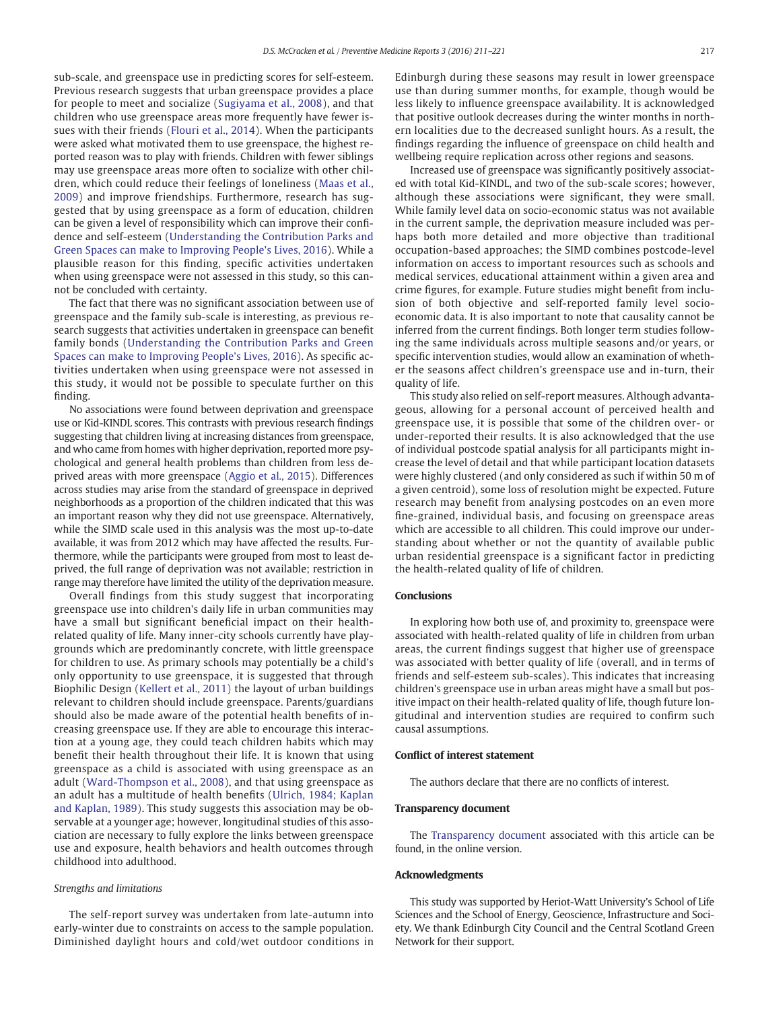sub-scale, and greenspace use in predicting scores for self-esteem. Previous research suggests that urban greenspace provides a place for people to meet and socialize ([Sugiyama et al., 2008](#page-11-0)), and that children who use greenspace areas more frequently have fewer issues with their friends [\(Flouri et al., 2014\)](#page-10-0). When the participants were asked what motivated them to use greenspace, the highest reported reason was to play with friends. Children with fewer siblings may use greenspace areas more often to socialize with other children, which could reduce their feelings of loneliness ([Maas et al.,](#page-10-0) [2009\)](#page-10-0) and improve friendships. Furthermore, research has suggested that by using greenspace as a form of education, children can be given a level of responsibility which can improve their confidence and self-esteem [\(Understanding the Contribution Parks and](#page-11-0) [Green Spaces can make to Improving People's Lives, 2016](#page-11-0)). While a plausible reason for this finding, specific activities undertaken when using greenspace were not assessed in this study, so this cannot be concluded with certainty.

The fact that there was no significant association between use of greenspace and the family sub-scale is interesting, as previous research suggests that activities undertaken in greenspace can benefit family bonds [\(Understanding the Contribution Parks and Green](#page-11-0) [Spaces can make to Improving People's Lives, 2016](#page-11-0)). As specific activities undertaken when using greenspace were not assessed in this study, it would not be possible to speculate further on this finding.

No associations were found between deprivation and greenspace use or Kid-KINDL scores. This contrasts with previous research findings suggesting that children living at increasing distances from greenspace, and who came from homes with higher deprivation, reported more psychological and general health problems than children from less deprived areas with more greenspace ([Aggio et al., 2015](#page-10-0)). Differences across studies may arise from the standard of greenspace in deprived neighborhoods as a proportion of the children indicated that this was an important reason why they did not use greenspace. Alternatively, while the SIMD scale used in this analysis was the most up-to-date available, it was from 2012 which may have affected the results. Furthermore, while the participants were grouped from most to least deprived, the full range of deprivation was not available; restriction in range may therefore have limited the utility of the deprivation measure.

Overall findings from this study suggest that incorporating greenspace use into children's daily life in urban communities may have a small but significant beneficial impact on their healthrelated quality of life. Many inner-city schools currently have playgrounds which are predominantly concrete, with little greenspace for children to use. As primary schools may potentially be a child's only opportunity to use greenspace, it is suggested that through Biophilic Design ([Kellert et al., 2011](#page-10-0)) the layout of urban buildings relevant to children should include greenspace. Parents/guardians should also be made aware of the potential health benefits of increasing greenspace use. If they are able to encourage this interaction at a young age, they could teach children habits which may benefit their health throughout their life. It is known that using greenspace as a child is associated with using greenspace as an adult ([Ward-Thompson et al., 2008](#page-11-0)), and that using greenspace as an adult has a multitude of health benefits [\(Ulrich, 1984; Kaplan](#page-11-0) [and Kaplan, 1989\)](#page-11-0). This study suggests this association may be observable at a younger age; however, longitudinal studies of this association are necessary to fully explore the links between greenspace use and exposure, health behaviors and health outcomes through childhood into adulthood.

#### Strengths and limitations

The self-report survey was undertaken from late-autumn into early-winter due to constraints on access to the sample population. Diminished daylight hours and cold/wet outdoor conditions in Edinburgh during these seasons may result in lower greenspace use than during summer months, for example, though would be less likely to influence greenspace availability. It is acknowledged that positive outlook decreases during the winter months in northern localities due to the decreased sunlight hours. As a result, the findings regarding the influence of greenspace on child health and wellbeing require replication across other regions and seasons.

Increased use of greenspace was significantly positively associated with total Kid-KINDL, and two of the sub-scale scores; however, although these associations were significant, they were small. While family level data on socio-economic status was not available in the current sample, the deprivation measure included was perhaps both more detailed and more objective than traditional occupation-based approaches; the SIMD combines postcode-level information on access to important resources such as schools and medical services, educational attainment within a given area and crime figures, for example. Future studies might benefit from inclusion of both objective and self-reported family level socioeconomic data. It is also important to note that causality cannot be inferred from the current findings. Both longer term studies following the same individuals across multiple seasons and/or years, or specific intervention studies, would allow an examination of whether the seasons affect children's greenspace use and in-turn, their quality of life.

This study also relied on self-report measures. Although advantageous, allowing for a personal account of perceived health and greenspace use, it is possible that some of the children over- or under-reported their results. It is also acknowledged that the use of individual postcode spatial analysis for all participants might increase the level of detail and that while participant location datasets were highly clustered (and only considered as such if within 50 m of a given centroid), some loss of resolution might be expected. Future research may benefit from analysing postcodes on an even more fine-grained, individual basis, and focusing on greenspace areas which are accessible to all children. This could improve our understanding about whether or not the quantity of available public urban residential greenspace is a significant factor in predicting the health-related quality of life of children.

#### **Conclusions**

In exploring how both use of, and proximity to, greenspace were associated with health-related quality of life in children from urban areas, the current findings suggest that higher use of greenspace was associated with better quality of life (overall, and in terms of friends and self-esteem sub-scales). This indicates that increasing children's greenspace use in urban areas might have a small but positive impact on their health-related quality of life, though future longitudinal and intervention studies are required to confirm such causal assumptions.

#### Conflict of interest statement

The authors declare that there are no conflicts of interest.

#### Transparency document

The [Transparency document](http://dx.doi.org/10.1016/j.pmedr.2016.01.013) associated with this article can be found, in the online version.

#### Acknowledgments

This study was supported by Heriot-Watt University's School of Life Sciences and the School of Energy, Geoscience, Infrastructure and Society. We thank Edinburgh City Council and the Central Scotland Green Network for their support.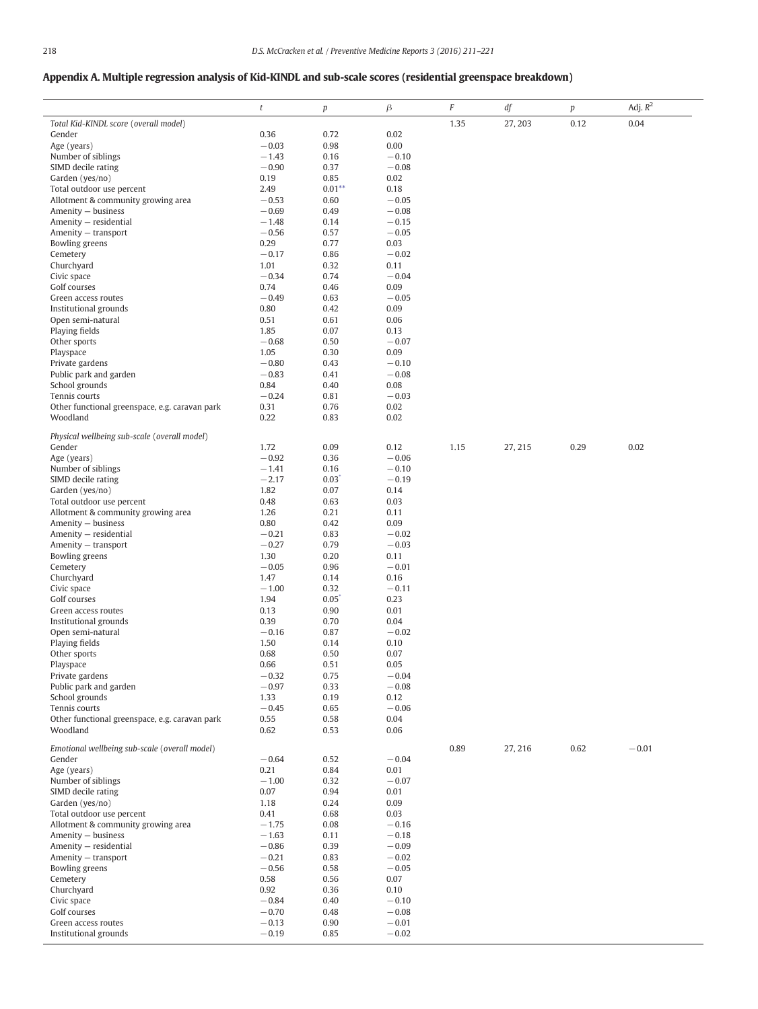# Appendix A. Multiple regression analysis of Kid-KINDL and sub-scale scores (residential greenspace breakdown)

|                                                | $\boldsymbol{t}$   | p                | $\beta$            | $\cal F$ | $d\boldsymbol{f}$ | $\boldsymbol{p}$ | Adj. $R^2$ |
|------------------------------------------------|--------------------|------------------|--------------------|----------|-------------------|------------------|------------|
| Total Kid-KINDL score (overall model)          |                    |                  |                    | 1.35     | 27, 203           | 0.12             | 0.04       |
| Gender                                         | 0.36               | 0.72             | 0.02               |          |                   |                  |            |
| Age (years)                                    | $-0.03$            | 0.98             | 0.00               |          |                   |                  |            |
| Number of siblings                             | $-1.43$            | 0.16             | $-0.10$            |          |                   |                  |            |
| SIMD decile rating                             | $-0.90$            | 0.37             | $-0.08$            |          |                   |                  |            |
| Garden (yes/no)<br>Total outdoor use percent   | 0.19<br>2.49       | 0.85<br>$0.01**$ | 0.02<br>0.18       |          |                   |                  |            |
| Allotment & community growing area             | $-0.53$            | 0.60             | $-0.05$            |          |                   |                  |            |
| Amenity - business                             | $-0.69$            | 0.49             | $-0.08$            |          |                   |                  |            |
| Amenity - residential                          | $-1.48$            | 0.14             | $-0.15$            |          |                   |                  |            |
| Amenity - transport                            | $-0.56$            | 0.57             | $-0.05$            |          |                   |                  |            |
| Bowling greens                                 | 0.29               | 0.77             | 0.03               |          |                   |                  |            |
| Cemetery                                       | $-0.17$            | 0.86             | $-0.02$            |          |                   |                  |            |
| Churchyard<br>Civic space                      | 1.01<br>$-0.34$    | 0.32<br>0.74     | 0.11<br>$-0.04$    |          |                   |                  |            |
| Golf courses                                   | 0.74               | 0.46             | 0.09               |          |                   |                  |            |
| Green access routes                            | $-0.49$            | 0.63             | $-0.05$            |          |                   |                  |            |
| Institutional grounds                          | 0.80               | 0.42             | 0.09               |          |                   |                  |            |
| Open semi-natural                              | 0.51               | 0.61             | 0.06               |          |                   |                  |            |
| Playing fields                                 | 1.85               | 0.07             | 0.13               |          |                   |                  |            |
| Other sports                                   | $-0.68$            | 0.50             | $-0.07$            |          |                   |                  |            |
| Playspace                                      | 1.05               | 0.30             | 0.09               |          |                   |                  |            |
| Private gardens                                | $-0.80$            | 0.43             | $-0.10$            |          |                   |                  |            |
| Public park and garden<br>School grounds       | $-0.83$<br>0.84    | 0.41<br>0.40     | $-0.08$<br>0.08    |          |                   |                  |            |
| Tennis courts                                  | $-0.24$            | 0.81             | $-0.03$            |          |                   |                  |            |
| Other functional greenspace, e.g. caravan park | 0.31               | 0.76             | 0.02               |          |                   |                  |            |
| Woodland                                       | 0.22               | 0.83             | 0.02               |          |                   |                  |            |
| Physical wellbeing sub-scale (overall model)   |                    |                  |                    |          |                   |                  |            |
| Gender                                         | 1.72               | 0.09             | 0.12               | 1.15     | 27, 215           | 0.29             | 0.02       |
| Age (years)                                    | $-0.92$            | 0.36             | $-0.06$            |          |                   |                  |            |
| Number of siblings                             | $-1.41$            | 0.16             | $-0.10$            |          |                   |                  |            |
| SIMD decile rating                             | $-2.17$            | 0.03             | $-0.19$            |          |                   |                  |            |
| Garden (yes/no)                                | 1.82               | 0.07             | 0.14               |          |                   |                  |            |
| Total outdoor use percent                      | 0.48               | 0.63             | 0.03               |          |                   |                  |            |
| Allotment & community growing area             | 1.26               | 0.21             | 0.11               |          |                   |                  |            |
| Amenity - business                             | 0.80               | 0.42             | 0.09               |          |                   |                  |            |
| Amenity - residential<br>Amenity - transport   | $-0.21$<br>$-0.27$ | 0.83<br>0.79     | $-0.02$<br>$-0.03$ |          |                   |                  |            |
| Bowling greens                                 | 1.30               | 0.20             | 0.11               |          |                   |                  |            |
| Cemetery                                       | $-0.05$            | 0.96             | $-0.01$            |          |                   |                  |            |
| Churchyard                                     | 1.47               | 0.14             | 0.16               |          |                   |                  |            |
| Civic space                                    | $-1.00$            | 0.32             | $-0.11$            |          |                   |                  |            |
| Golf courses                                   | 1.94               | 0.05             | 0.23               |          |                   |                  |            |
| Green access routes                            | 0.13               | 0.90             | 0.01               |          |                   |                  |            |
| Institutional grounds                          | 0.39               | 0.70             | 0.04               |          |                   |                  |            |
| Open semi-natural                              | $-0.16$            | 0.87             | $-0.02$            |          |                   |                  |            |
| Playing fields                                 | 1.50<br>0.68       | 0.14<br>0.50     | 0.10<br>0.07       |          |                   |                  |            |
| Other sports<br>Playspace                      | 0.66               | 0.51             | 0.05               |          |                   |                  |            |
| Private gardens                                | $-0.32$            | 0.75             | $-0.04$            |          |                   |                  |            |
| Public park and garden                         | $-0.97$            | 0.33             | $-0.08$            |          |                   |                  |            |
| School grounds                                 | 1.33               | 0.19             | 0.12               |          |                   |                  |            |
| Tennis courts                                  | $-0.45$            | 0.65             | $-0.06$            |          |                   |                  |            |
| Other functional greenspace, e.g. caravan park | 0.55               | 0.58             | 0.04               |          |                   |                  |            |
| Woodland                                       | 0.62               | 0.53             | 0.06               |          |                   |                  |            |
| Emotional wellbeing sub-scale (overall model)  |                    |                  |                    | 0.89     | 27, 216           | 0.62             | $-0.01$    |
| Gender                                         | $-0.64$            | 0.52             | $-0.04$            |          |                   |                  |            |
| Age (years)                                    | 0.21               | 0.84             | 0.01               |          |                   |                  |            |
| Number of siblings                             | $-1.00$            | 0.32             | $-0.07$            |          |                   |                  |            |
| SIMD decile rating                             | 0.07               | 0.94             | 0.01               |          |                   |                  |            |
| Garden (yes/no)<br>Total outdoor use percent   | 1.18<br>0.41       | 0.24<br>0.68     | 0.09<br>0.03       |          |                   |                  |            |
| Allotment & community growing area             | $-1.75$            | 0.08             | $-0.16$            |          |                   |                  |            |
| Amenity - business                             | $-1.63$            | 0.11             | $-0.18$            |          |                   |                  |            |
| Amenity - residential                          | $-0.86$            | 0.39             | $-0.09$            |          |                   |                  |            |
| Amenity - transport                            | $-0.21$            | 0.83             | $-0.02$            |          |                   |                  |            |
| Bowling greens                                 | $-0.56$            | 0.58             | $-0.05$            |          |                   |                  |            |
| Cemetery                                       | 0.58               | 0.56             | 0.07               |          |                   |                  |            |
| Churchyard                                     | 0.92               | 0.36             | 0.10               |          |                   |                  |            |
| Civic space                                    | $-0.84$            | 0.40             | $-0.10$            |          |                   |                  |            |
| Golf courses                                   | $-0.70$            | 0.48             | $-0.08$            |          |                   |                  |            |
| Green access routes<br>Institutional grounds   | $-0.13$<br>$-0.19$ | 0.90<br>0.85     | $-0.01$<br>$-0.02$ |          |                   |                  |            |
|                                                |                    |                  |                    |          |                   |                  |            |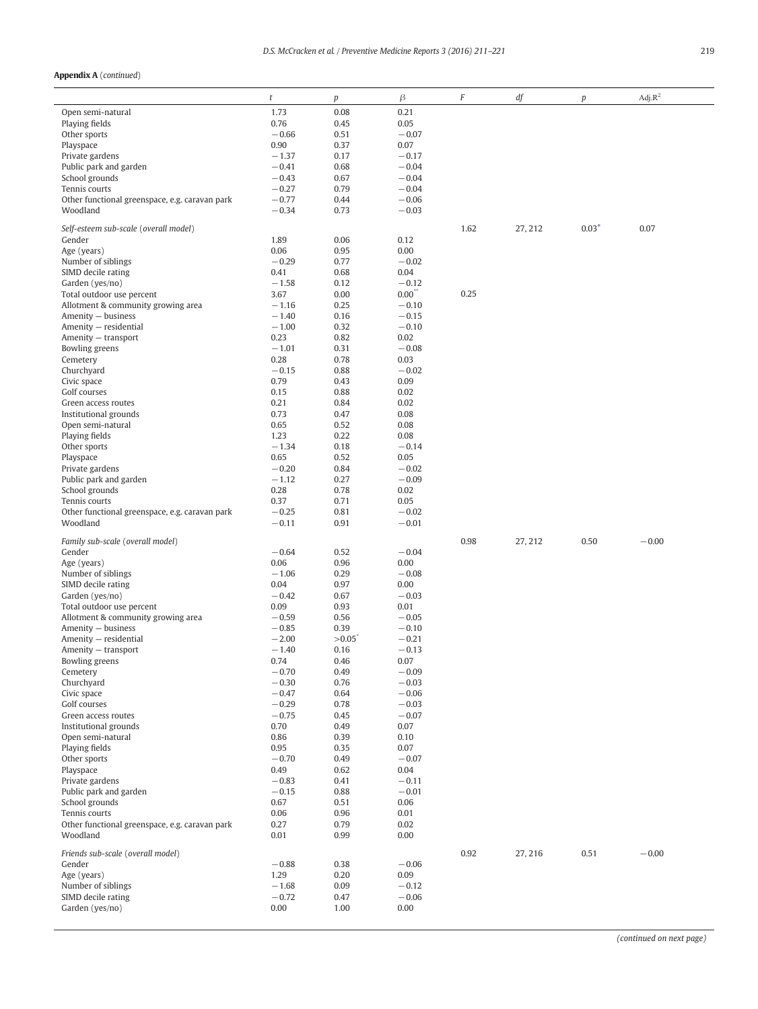### Appendix A (continued)

|                                                | $\it t$            | p             | $\beta$            | $\cal F$ | df      | p       | $Adj.R^2$ |
|------------------------------------------------|--------------------|---------------|--------------------|----------|---------|---------|-----------|
| Open semi-natural                              | 1.73               | 0.08          | 0.21               |          |         |         |           |
| Playing fields                                 | 0.76               | 0.45          | 0.05               |          |         |         |           |
| Other sports                                   | $-0.66$            | 0.51          | $-0.07$            |          |         |         |           |
| Playspace                                      | 0.90               | 0.37          | 0.07               |          |         |         |           |
| Private gardens                                | $-1.37$            | 0.17          | $-0.17$<br>$-0.04$ |          |         |         |           |
| Public park and garden<br>School grounds       | $-0.41$<br>$-0.43$ | 0.68<br>0.67  | $-0.04$            |          |         |         |           |
| Tennis courts                                  | $-0.27$            | 0.79          | $-0.04$            |          |         |         |           |
| Other functional greenspace, e.g. caravan park | $-0.77$            | 0.44          | $-0.06$            |          |         |         |           |
| Woodland                                       | $-0.34$            | 0.73          | $-0.03$            |          |         |         |           |
|                                                |                    |               |                    |          |         |         |           |
| Self-esteem sub-scale (overall model)          |                    |               |                    | 1.62     | 27, 212 | $0.03*$ | 0.07      |
| Gender                                         | 1.89               | 0.06          | 0.12               |          |         |         |           |
| Age (years)<br>Number of siblings              | 0.06<br>$-0.29$    | 0.95<br>0.77  | 0.00<br>$-0.02$    |          |         |         |           |
| SIMD decile rating                             | 0.41               | 0.68          | 0.04               |          |         |         |           |
| Garden (yes/no)                                | $-1.58$            | 0.12          | $-0.12$            |          |         |         |           |
| Total outdoor use percent                      | 3.67               | 0.00          | 0.00               | 0.25     |         |         |           |
| Allotment & community growing area             | $-1.16$            | 0.25          | $-0.10$            |          |         |         |           |
| Amenity - business                             | $-1.40$            | 0.16          | $-0.15$            |          |         |         |           |
| Amenity - residential                          | $-1.00$            | 0.32          | $-0.10$            |          |         |         |           |
| Amenity - transport                            | 0.23               | 0.82          | 0.02               |          |         |         |           |
| Bowling greens                                 | $-1.01$            | 0.31          | $-0.08$            |          |         |         |           |
| Cemetery                                       | 0.28               | 0.78          | 0.03               |          |         |         |           |
| Churchyard                                     | $-0.15$            | 0.88          | $-0.02$            |          |         |         |           |
| Civic space                                    | 0.79               | 0.43          | 0.09               |          |         |         |           |
| Golf courses                                   | 0.15               | 0.88          | 0.02               |          |         |         |           |
| Green access routes                            | 0.21               | 0.84          | 0.02               |          |         |         |           |
| Institutional grounds<br>Open semi-natural     | 0.73<br>0.65       | 0.47<br>0.52  | 0.08<br>0.08       |          |         |         |           |
| Playing fields                                 | 1.23               | 0.22          | 0.08               |          |         |         |           |
| Other sports                                   | $-1.34$            | 0.18          | $-0.14$            |          |         |         |           |
| Playspace                                      | 0.65               | 0.52          | 0.05               |          |         |         |           |
| Private gardens                                | $-0.20$            | 0.84          | $-0.02$            |          |         |         |           |
| Public park and garden                         | $-1.12$            | 0.27          | $-0.09$            |          |         |         |           |
| School grounds                                 | 0.28               | 0.78          | 0.02               |          |         |         |           |
| Tennis courts                                  | 0.37               | 0.71          | 0.05               |          |         |         |           |
| Other functional greenspace, e.g. caravan park | $-0.25$            | 0.81          | $-0.02$            |          |         |         |           |
| Woodland                                       | $-0.11$            | 0.91          | $-0.01$            |          |         |         |           |
| Family sub-scale (overall model)               |                    |               |                    | 0.98     | 27, 212 | 0.50    | $-0.00$   |
| Gender                                         | $-0.64$            | 0.52          | $-0.04$            |          |         |         |           |
| Age (years)                                    | 0.06               | 0.96          | 0.00               |          |         |         |           |
| Number of siblings                             | $-1.06$            | 0.29          | $-0.08$            |          |         |         |           |
| SIMD decile rating                             | 0.04               | 0.97          | 0.00               |          |         |         |           |
| Garden (yes/no)                                | $-0.42$            | 0.67          | $-0.03$            |          |         |         |           |
| Total outdoor use percent                      | 0.09               | 0.93          | 0.01               |          |         |         |           |
| Allotment & community growing area             | $-0.59$            | 0.56          | $-0.05$            |          |         |         |           |
| Amenity - business                             | $-0.85$            | 0.39          | $-0.10$            |          |         |         |           |
| Amenity - residential                          | $-2.00$<br>$-1.40$ | >0.05<br>0.16 | $-0.21$<br>$-0.13$ |          |         |         |           |
| Amenity — transport<br>Bowling greens          | 0.74               | 0.46          | 0.07               |          |         |         |           |
| Cemetery                                       | $-0.70$            | 0.49          | $-0.09$            |          |         |         |           |
| Churchyard                                     | $-0.30$            | 0.76          | $-0.03$            |          |         |         |           |
| Civic space                                    | $-0.47$            | 0.64          | $-0.06$            |          |         |         |           |
| Golf courses                                   | $-0.29$            | 0.78          | $-0.03$            |          |         |         |           |
| Green access routes                            | $-0.75$            | 0.45          | $-0.07$            |          |         |         |           |
| Institutional grounds                          | 0.70               | 0.49          | 0.07               |          |         |         |           |
| Open semi-natural                              | 0.86               | 0.39          | 0.10               |          |         |         |           |
| Playing fields                                 | 0.95               | 0.35          | 0.07               |          |         |         |           |
| Other sports                                   | $-0.70$            | 0.49          | $-0.07$            |          |         |         |           |
| Playspace                                      | 0.49               | 0.62          | 0.04               |          |         |         |           |
| Private gardens                                | $-0.83$<br>$-0.15$ | 0.41<br>0.88  | $-0.11$<br>$-0.01$ |          |         |         |           |
| Public park and garden<br>School grounds       | 0.67               | 0.51          | 0.06               |          |         |         |           |
| Tennis courts                                  | 0.06               | 0.96          | 0.01               |          |         |         |           |
| Other functional greenspace, e.g. caravan park | 0.27               | 0.79          | 0.02               |          |         |         |           |
| Woodland                                       | 0.01               | 0.99          | 0.00               |          |         |         |           |
|                                                |                    |               |                    |          |         |         |           |
| Friends sub-scale (overall model)              |                    |               |                    | 0.92     | 27, 216 | 0.51    | $-0.00$   |
| Gender                                         | $-0.88$            | 0.38          | $-0.06$            |          |         |         |           |
| Age (years)<br>Number of siblings              | 1.29<br>$-1.68$    | 0.20<br>0.09  | 0.09<br>$-0.12$    |          |         |         |           |
| SIMD decile rating                             | $-0.72$            | 0.47          | $-0.06$            |          |         |         |           |
| Garden (yes/no)                                | 0.00               | 1.00          | 0.00               |          |         |         |           |
|                                                |                    |               |                    |          |         |         |           |

(continued on next page)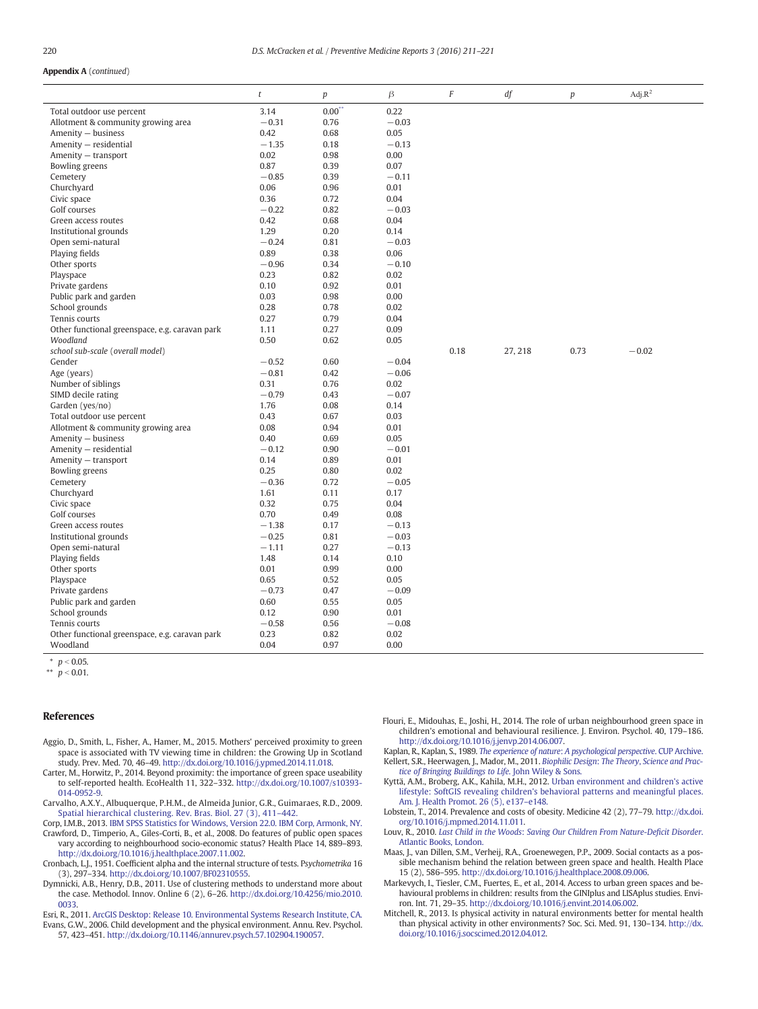#### <span id="page-10-0"></span>Appendix A (continued)

|                                                | $\boldsymbol{t}$ | $\boldsymbol{p}$ | $\beta$ | F    | df      | $\boldsymbol{p}$ | $\text{Adj}.\text{R}^2$ |
|------------------------------------------------|------------------|------------------|---------|------|---------|------------------|-------------------------|
| Total outdoor use percent                      | 3.14             | 0.00             | 0.22    |      |         |                  |                         |
| Allotment & community growing area             | $-0.31$          | 0.76             | $-0.03$ |      |         |                  |                         |
| Amenity - business                             | 0.42             | 0.68             | 0.05    |      |         |                  |                         |
| Amenity - residential                          | $-1.35$          | 0.18             | $-0.13$ |      |         |                  |                         |
| Amenity - transport                            | 0.02             | 0.98             | 0.00    |      |         |                  |                         |
| Bowling greens                                 | 0.87             | 0.39             | 0.07    |      |         |                  |                         |
| Cemetery                                       | $-0.85$          | 0.39             | $-0.11$ |      |         |                  |                         |
| Churchyard                                     | 0.06             | 0.96             | 0.01    |      |         |                  |                         |
| Civic space                                    | 0.36             | 0.72             | 0.04    |      |         |                  |                         |
| Golf courses                                   | $-0.22$          | 0.82             | $-0.03$ |      |         |                  |                         |
| Green access routes                            | 0.42             | 0.68             | 0.04    |      |         |                  |                         |
| Institutional grounds                          | 1.29             | 0.20             | 0.14    |      |         |                  |                         |
| Open semi-natural                              | $-0.24$          | 0.81             | $-0.03$ |      |         |                  |                         |
| Playing fields                                 | 0.89             | 0.38             | 0.06    |      |         |                  |                         |
| Other sports                                   | $-0.96$          | 0.34             | $-0.10$ |      |         |                  |                         |
| Playspace                                      | 0.23             | 0.82             | 0.02    |      |         |                  |                         |
| Private gardens                                | 0.10             | 0.92             | 0.01    |      |         |                  |                         |
| Public park and garden                         | 0.03             | 0.98             | 0.00    |      |         |                  |                         |
| School grounds                                 | 0.28             | 0.78             | 0.02    |      |         |                  |                         |
| Tennis courts                                  | 0.27             | 0.79             | 0.04    |      |         |                  |                         |
| Other functional greenspace, e.g. caravan park | 1.11             | 0.27             | 0.09    |      |         |                  |                         |
| Woodland                                       | 0.50             | 0.62             | 0.05    |      |         |                  |                         |
| school sub-scale (overall model)               |                  |                  |         | 0.18 | 27, 218 | 0.73             | $-0.02$                 |
| Gender                                         | $-0.52$          | 0.60             | $-0.04$ |      |         |                  |                         |
| Age (years)                                    | $-0.81$          | 0.42             | $-0.06$ |      |         |                  |                         |
| Number of siblings                             | 0.31             | 0.76             | 0.02    |      |         |                  |                         |
| SIMD decile rating                             | $-0.79$          | 0.43             | $-0.07$ |      |         |                  |                         |
| Garden (yes/no)                                | 1.76             | 0.08             | 0.14    |      |         |                  |                         |
| Total outdoor use percent                      | 0.43             | 0.67             | 0.03    |      |         |                  |                         |
| Allotment & community growing area             | 0.08             | 0.94             | 0.01    |      |         |                  |                         |
| Amenity - business                             | 0.40             | 0.69             | 0.05    |      |         |                  |                         |
| Amenity - residential                          | $-0.12$          | 0.90             | $-0.01$ |      |         |                  |                         |
| Amenity - transport                            | 0.14             | 0.89             | 0.01    |      |         |                  |                         |
| Bowling greens                                 | 0.25             | 0.80             | 0.02    |      |         |                  |                         |
| Cemetery                                       | $-0.36$          | 0.72             | $-0.05$ |      |         |                  |                         |
| Churchyard                                     | 1.61             | 0.11             | 0.17    |      |         |                  |                         |
| Civic space                                    | 0.32             | 0.75             | 0.04    |      |         |                  |                         |
| Golf courses                                   | 0.70             | 0.49             | 0.08    |      |         |                  |                         |
| Green access routes                            | $-1.38$          | 0.17             | $-0.13$ |      |         |                  |                         |
| Institutional grounds                          | $-0.25$          | 0.81             | $-0.03$ |      |         |                  |                         |
| Open semi-natural                              | $-1.11$          | 0.27             | $-0.13$ |      |         |                  |                         |
| Playing fields                                 | 1.48             | 0.14             | 0.10    |      |         |                  |                         |
| Other sports                                   | 0.01             | 0.99             | 0.00    |      |         |                  |                         |
| Playspace                                      | 0.65             | 0.52             | 0.05    |      |         |                  |                         |
| Private gardens                                | $-0.73$          | 0.47             | $-0.09$ |      |         |                  |                         |
| Public park and garden                         | 0.60             | 0.55             | 0.05    |      |         |                  |                         |
| School grounds                                 | 0.12             | 0.90             | 0.01    |      |         |                  |                         |
| Tennis courts                                  | $-0.58$          | 0.56             | $-0.08$ |      |         |                  |                         |
| Other functional greenspace, e.g. caravan park | 0.23             | 0.82             | 0.02    |      |         |                  |                         |
| Woodland                                       | 0.04             | 0.97             | 0.00    |      |         |                  |                         |

 $\overline{p}$  = 0.05.

\*\*  $p < 0.01$ .

#### **References**

- Aggio, D., Smith, L., Fisher, A., Hamer, M., 2015. Mothers' perceived proximity to green space is associated with TV viewing time in children: the Growing Up in Scotland study. Prev. Med. 70, 46–49. http://dx.doi.org/[10.1016/j.ypmed.2014.11.018.](http://dx.doi.org/10.1016/j.ypmed.2014.11.018)
- Carter, M., Horwitz, P., 2014. Beyond proximity: the importance of green space useability to self-reported health. EcoHealth 11, 322–332. http://dx.doi.org/[10.1007/s10393-](http://dx.doi.org/10.1007/s10393-014-0952-9) [014-0952-9](http://dx.doi.org/10.1007/s10393-014-0952-9).
- Carvalho, A.X.Y., Albuquerque, P.H.M., de Almeida Junior, G.R., Guimaraes, R.D., 2009. [Spatial hierarchical clustering. Rev. Bras. Biol. 27 \(3\), 411](http://refhub.elsevier.com/S2211-3355(16)00016-4/rf0015)–442.
- Corp, I.M.B., 2013. [IBM SPSS Statistics for Windows, Version 22.0. IBM Corp, Armonk, NY](http://refhub.elsevier.com/S2211-3355(16)00016-4/rf0020).
- Crawford, D., Timperio, A., Giles-Corti, B., et al., 2008. Do features of public open spaces vary according to neighbourhood socio-economic status? Health Place 14, 889–893. http://dx.doi.org[/10.1016/j.healthplace.2007.11.002](http://dx.doi.org/10.1016/j.healthplace.2007.11.002).
- Cronbach, L.J., 1951. Coefficient alpha and the internal structure of tests. Psychometrika 16 (3), 297–334. http://dx.doi.org/[10.1007/BF02310555](http://dx.doi.org/10.1007/BF02310555).
- Dymnicki, A.B., Henry, D.B., 2011. Use of clustering methods to understand more about the case. Methodol. Innov. Online 6 (2), 6–26. http://dx.doi.org/[10.4256/mio.2010.](http://dx.doi.org/10.4256/mio.2010.0033) [0033.](http://dx.doi.org/10.4256/mio.2010.0033)
- Esri, R., 2011. [ArcGIS Desktop: Release 10. Environmental Systems Research Institute, CA](http://refhub.elsevier.com/S2211-3355(16)00016-4/rf0040). Evans, G.W., 2006. Child development and the physical environment. Annu. Rev. Psychol. 57, 423–451. http://dx.doi.org[/10.1146/annurev.psych.57.102904.190057.](http://dx.doi.org/10.1146/annurev.psych.57.102904.190057)
- Flouri, E., Midouhas, E., Joshi, H., 2014. The role of urban neighbourhood green space in children's emotional and behavioural resilience. J. Environ. Psychol. 40, 179–186. http://dx.doi.org[/10.1016/j.jenvp.2014.06.007](http://dx.doi.org/10.1016/j.jenvp.2014.06.007).
- Kaplan, R., Kaplan, S., 1989. The experience of nature: [A psychological perspective](http://refhub.elsevier.com/S2211-3355(16)00016-4/rf0055). CUP Archive. Kellert, S.R., Heerwagen, J., Mador, M., 2011. Biophilic Design: The Theory, [Science and Prac](http://refhub.elsevier.com/S2211-3355(16)00016-4/rf0060)[tice of Bringing Buildings to Life](http://refhub.elsevier.com/S2211-3355(16)00016-4/rf0060). John Wiley & Sons.
- Kyttä, A.M., Broberg, A.K., Kahila, M.H., 2012. [Urban environment and children's active](http://refhub.elsevier.com/S2211-3355(16)00016-4/rf0065) [lifestyle: SoftGIS revealing children's behavioral patterns and meaningful places.](http://refhub.elsevier.com/S2211-3355(16)00016-4/rf0065) [Am. J. Health Promot. 26 \(5\), e137](http://refhub.elsevier.com/S2211-3355(16)00016-4/rf0065)–e148.
- Lobstein, T., 2014. Prevalence and costs of obesity. Medicine 42 (2), 77–79. http://dx.doi. org[/10.1016/j.mpmed.2014.11.011.](http://dx.doi.org/10.1016/j.mpmed.2014.11.011)
- Louv, R., 2010. Last Child in the Woods: [Saving Our Children From Nature-De](http://refhub.elsevier.com/S2211-3355(16)00016-4/rf0075)ficit Disorder. [Atlantic Books, London.](http://refhub.elsevier.com/S2211-3355(16)00016-4/rf0075)
- Maas, J., van Dillen, S.M., Verheij, R.A., Groenewegen, P.P., 2009. Social contacts as a possible mechanism behind the relation between green space and health. Health Place 15 (2), 586–595. http://dx.doi.org/[10.1016/j.healthplace.2008.09.006.](http://dx.doi.org/10.1016/j.healthplace.2008.09.006)
- Markevych, I., Tiesler, C.M., Fuertes, E., et al., 2014. Access to urban green spaces and behavioural problems in children: results from the GINIplus and LISAplus studies. Environ. Int. 71, 29–35. http://dx.doi.org[/10.1016/j.envint.2014.06.002](http://dx.doi.org/10.1016/j.envint.2014.06.002).
- Mitchell, R., 2013. Is physical activity in natural environments better for mental health than physical activity in other environments? Soc. Sci. Med. 91, 130–134. http://dx. doi.org/[10.1016/j.socscimed.2012.04.012.](http://dx.doi.org/10.1016/j.socscimed.2012.04.012)